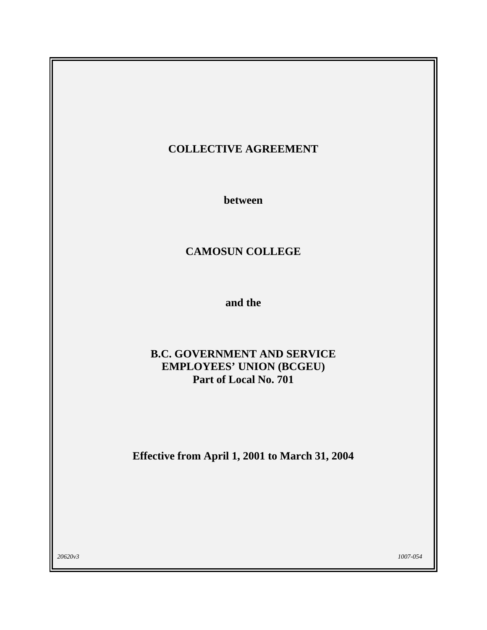# **COLLECTIVE AGREEMENT**

**between** 

# **CAMOSUN COLLEGE**

**and the** 

# **B.C. GOVERNMENT AND SERVICE EMPLOYEES' UNION (BCGEU) Part of Local No. 701**

**Effective from April 1, 2001 to March 31, 2004** 

*20620v3 1007-054*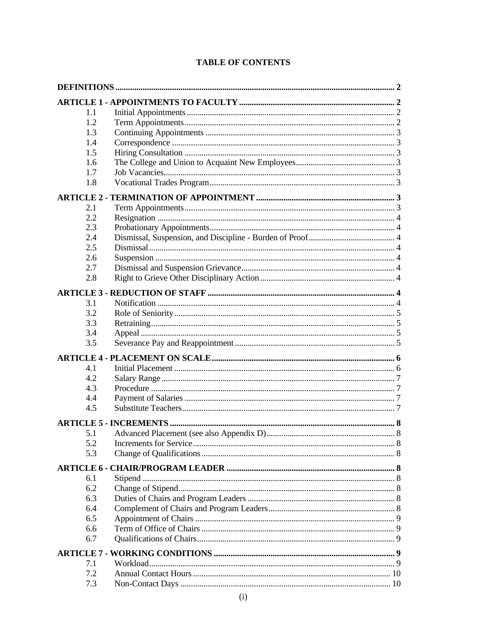| 1.1 |           |
|-----|-----------|
| 1.2 |           |
| 1.3 |           |
| 1.4 |           |
| 1.5 |           |
| 1.6 |           |
| 1.7 |           |
| 1.8 |           |
|     |           |
| 2.1 |           |
| 2.2 |           |
| 2.3 |           |
| 2.4 |           |
| 2.5 |           |
| 2.6 |           |
| 2.7 |           |
| 2.8 |           |
|     |           |
| 3.1 |           |
| 3.2 |           |
| 3.3 |           |
| 3.4 |           |
| 3.5 |           |
|     |           |
| 4.1 |           |
| 4.2 |           |
| 4.3 |           |
| 4.4 |           |
| 4.5 |           |
|     |           |
| 5.1 |           |
| 5.2 |           |
| 5.3 |           |
|     |           |
| 6.1 |           |
| 6.2 |           |
| 6.3 |           |
| 6.4 |           |
| 6.5 |           |
| 6.6 |           |
| 6.7 |           |
|     |           |
| 7.1 |           |
| 7.2 |           |
| 7.3 | $10^{-7}$ |

# **TABLE OF CONTENTS**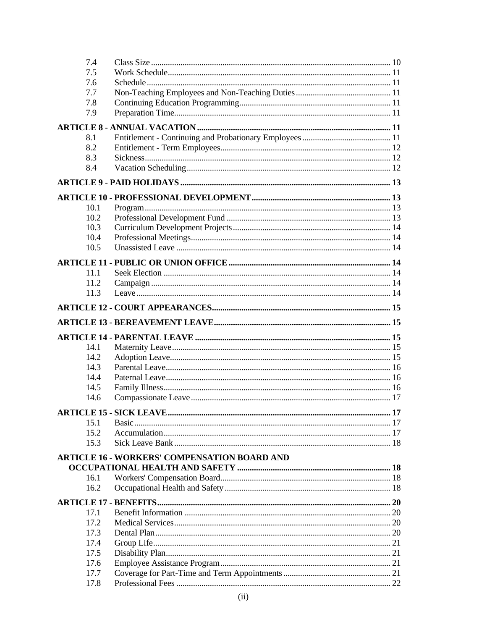| 7.4  |                                                     |      |
|------|-----------------------------------------------------|------|
| 7.5  |                                                     |      |
| 7.6  |                                                     |      |
| 7.7  |                                                     |      |
| 7.8  |                                                     |      |
| 7.9  |                                                     |      |
|      |                                                     |      |
| 8.1  |                                                     |      |
| 8.2  |                                                     |      |
| 8.3  |                                                     |      |
| 8.4  |                                                     |      |
|      |                                                     |      |
|      |                                                     |      |
|      | 10.1                                                |      |
|      | 10.2                                                |      |
|      | 10.3                                                |      |
|      | 10.4                                                |      |
|      | 10.5                                                |      |
|      |                                                     |      |
|      |                                                     |      |
|      | 11.1                                                |      |
|      | 11.2                                                |      |
|      | 11.3                                                |      |
|      |                                                     |      |
|      |                                                     |      |
|      |                                                     |      |
|      | 14.1                                                |      |
|      | 14.2                                                |      |
|      | 14.3                                                |      |
|      | 14.4                                                |      |
|      | 14.5                                                |      |
| 14.6 |                                                     |      |
|      |                                                     |      |
|      | <b>ARTICLE 15 - SICK LEAVE</b>                      | . 17 |
|      | 15.1                                                |      |
|      | 15.2                                                |      |
|      | 15.3                                                |      |
|      | <b>ARTICLE 16 - WORKERS' COMPENSATION BOARD AND</b> |      |
|      |                                                     |      |
|      | 16.1                                                |      |
|      | 16.2                                                |      |
|      |                                                     |      |
|      | 17.1                                                |      |
|      | 17.2                                                |      |
|      | 17.3                                                |      |
|      | 17.4                                                |      |
|      | 17.5                                                |      |
|      | 17.6                                                |      |
|      | 17.7                                                |      |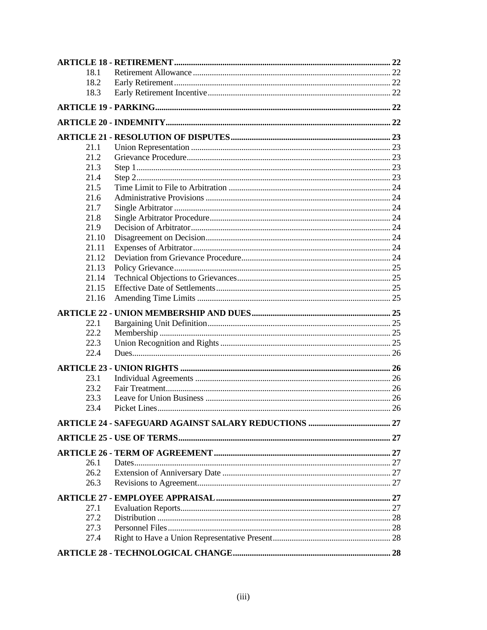| 18.1  |  |
|-------|--|
| 18.2  |  |
| 18.3  |  |
|       |  |
|       |  |
|       |  |
| 21.1  |  |
| 21.2  |  |
| 21.3  |  |
| 21.4  |  |
| 21.5  |  |
| 21.6  |  |
| 21.7  |  |
| 21.8  |  |
| 21.9  |  |
| 21.10 |  |
| 21.11 |  |
| 21.12 |  |
| 21.13 |  |
| 21.14 |  |
| 21.15 |  |
| 21.16 |  |
|       |  |
|       |  |
| 22.1  |  |
| 22.2  |  |
| 22.3  |  |
| 22.4  |  |
|       |  |
| 23.1  |  |
| 23.2  |  |
| 23.3  |  |
|       |  |
|       |  |
| 23.4  |  |
|       |  |
|       |  |
|       |  |
|       |  |
| 26.1  |  |
| 26.2  |  |
| 26.3  |  |
|       |  |
| 27.1  |  |
| 27.2  |  |
| 27.3  |  |
| 27.4  |  |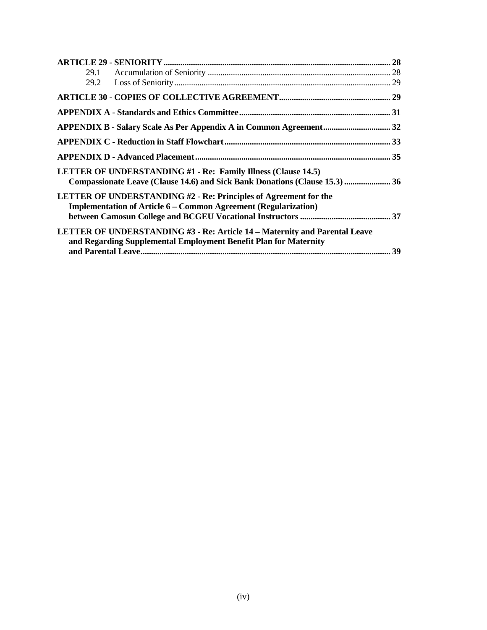| <b>LETTER OF UNDERSTANDING #1 - Re: Family Illness (Clause 14.5)</b>              |  |
|-----------------------------------------------------------------------------------|--|
| Compassionate Leave (Clause 14.6) and Sick Bank Donations (Clause 15.3)  36       |  |
| <b>LETTER OF UNDERSTANDING #2 - Re: Principles of Agreement for the</b>           |  |
| <b>Implementation of Article 6 – Common Agreement (Regularization)</b>            |  |
|                                                                                   |  |
| <b>LETTER OF UNDERSTANDING #3 - Re: Article 14 – Maternity and Parental Leave</b> |  |
| and Regarding Supplemental Employment Benefit Plan for Maternity                  |  |
|                                                                                   |  |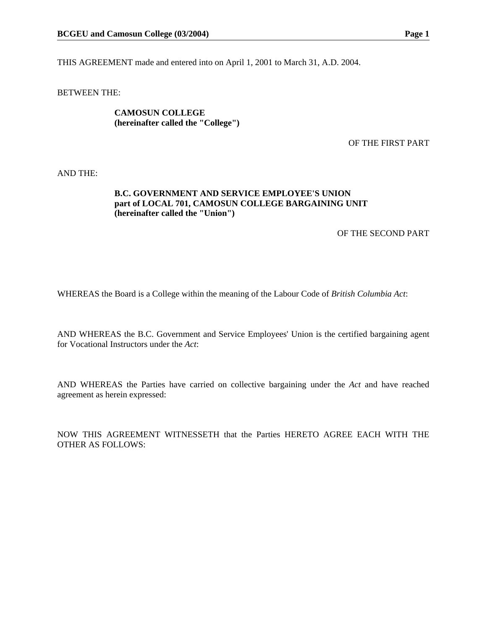THIS AGREEMENT made and entered into on April 1, 2001 to March 31, A.D. 2004.

BETWEEN THE:

**CAMOSUN COLLEGE (hereinafter called the "College")** 

OF THE FIRST PART

AND THE:

#### **B.C. GOVERNMENT AND SERVICE EMPLOYEE'S UNION part of LOCAL 701, CAMOSUN COLLEGE BARGAINING UNIT (hereinafter called the "Union")**

OF THE SECOND PART

WHEREAS the Board is a College within the meaning of the Labour Code of *British Columbia Act*:

AND WHEREAS the B.C. Government and Service Employees' Union is the certified bargaining agent for Vocational Instructors under the *Act*:

AND WHEREAS the Parties have carried on collective bargaining under the *Act* and have reached agreement as herein expressed:

NOW THIS AGREEMENT WITNESSETH that the Parties HERETO AGREE EACH WITH THE OTHER AS FOLLOWS: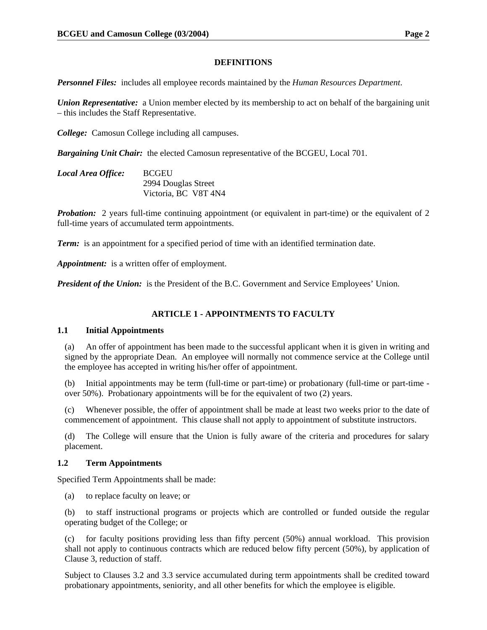#### **DEFINITIONS**

*Personnel Files:* includes all employee records maintained by the *Human Resources Department*.

*Union Representative:* a Union member elected by its membership to act on behalf of the bargaining unit – this includes the Staff Representative.

*College:* Camosun College including all campuses.

*Bargaining Unit Chair:* the elected Camosun representative of the BCGEU, Local 701.

| Local Area Office: | <b>BCGEU</b>         |
|--------------------|----------------------|
|                    | 2994 Douglas Street  |
|                    | Victoria, BC V8T 4N4 |

*Probation:* 2 years full-time continuing appointment (or equivalent in part-time) or the equivalent of 2 full-time years of accumulated term appointments.

*Term:* is an appointment for a specified period of time with an identified termination date.

*Appointment:* is a written offer of employment.

**President of the Union:** is the President of the B.C. Government and Service Employees' Union.

#### **ARTICLE 1 - APPOINTMENTS TO FACULTY**

#### **1.1 Initial Appointments**

(a) An offer of appointment has been made to the successful applicant when it is given in writing and signed by the appropriate Dean. An employee will normally not commence service at the College until the employee has accepted in writing his/her offer of appointment.

(b) Initial appointments may be term (full-time or part-time) or probationary (full-time or part-time over 50%). Probationary appointments will be for the equivalent of two (2) years.

(c) Whenever possible, the offer of appointment shall be made at least two weeks prior to the date of commencement of appointment. This clause shall not apply to appointment of substitute instructors.

(d) The College will ensure that the Union is fully aware of the criteria and procedures for salary placement.

#### **1.2 Term Appointments**

Specified Term Appointments shall be made:

(a) to replace faculty on leave; or

(b) to staff instructional programs or projects which are controlled or funded outside the regular operating budget of the College; or

(c) for faculty positions providing less than fifty percent (50%) annual workload. This provision shall not apply to continuous contracts which are reduced below fifty percent (50%), by application of Clause 3, reduction of staff.

Subject to Clauses 3.2 and 3.3 service accumulated during term appointments shall be credited toward probationary appointments, seniority, and all other benefits for which the employee is eligible.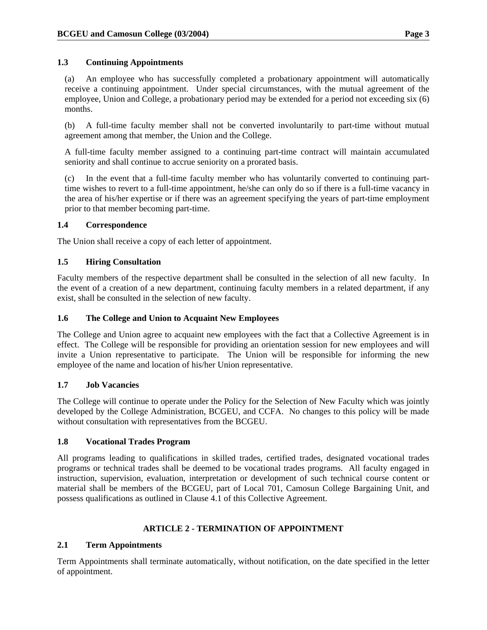# **1.3 Continuing Appointments**

(a) An employee who has successfully completed a probationary appointment will automatically receive a continuing appointment. Under special circumstances, with the mutual agreement of the employee, Union and College, a probationary period may be extended for a period not exceeding six (6) months.

(b) A full-time faculty member shall not be converted involuntarily to part-time without mutual agreement among that member, the Union and the College.

A full-time faculty member assigned to a continuing part-time contract will maintain accumulated seniority and shall continue to accrue seniority on a prorated basis.

(c) In the event that a full-time faculty member who has voluntarily converted to continuing parttime wishes to revert to a full-time appointment, he/she can only do so if there is a full-time vacancy in the area of his/her expertise or if there was an agreement specifying the years of part-time employment prior to that member becoming part-time.

# **1.4 Correspondence**

The Union shall receive a copy of each letter of appointment.

# **1.5 Hiring Consultation**

Faculty members of the respective department shall be consulted in the selection of all new faculty. In the event of a creation of a new department, continuing faculty members in a related department, if any exist, shall be consulted in the selection of new faculty.

### **1.6 The College and Union to Acquaint New Employees**

The College and Union agree to acquaint new employees with the fact that a Collective Agreement is in effect. The College will be responsible for providing an orientation session for new employees and will invite a Union representative to participate. The Union will be responsible for informing the new employee of the name and location of his/her Union representative.

#### **1.7 Job Vacancies**

The College will continue to operate under the Policy for the Selection of New Faculty which was jointly developed by the College Administration, BCGEU, and CCFA. No changes to this policy will be made without consultation with representatives from the BCGEU.

#### **1.8 Vocational Trades Program**

All programs leading to qualifications in skilled trades, certified trades, designated vocational trades programs or technical trades shall be deemed to be vocational trades programs. All faculty engaged in instruction, supervision, evaluation, interpretation or development of such technical course content or material shall be members of the BCGEU, part of Local 701, Camosun College Bargaining Unit, and possess qualifications as outlined in Clause 4.1 of this Collective Agreement.

# **ARTICLE 2 - TERMINATION OF APPOINTMENT**

# **2.1 Term Appointments**

Term Appointments shall terminate automatically, without notification, on the date specified in the letter of appointment.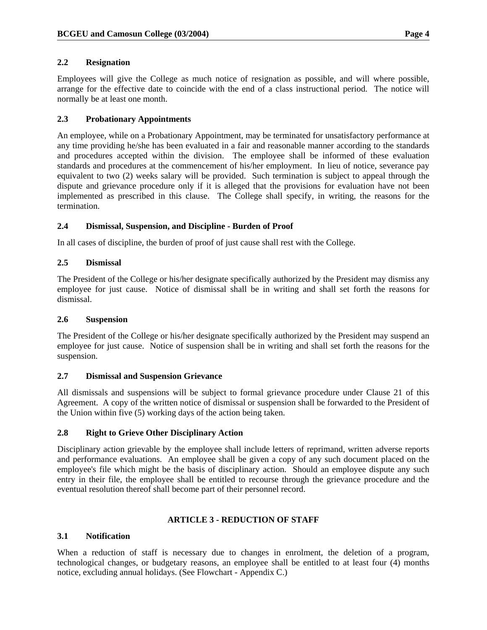# **2.2 Resignation**

Employees will give the College as much notice of resignation as possible, and will where possible, arrange for the effective date to coincide with the end of a class instructional period. The notice will normally be at least one month.

# **2.3 Probationary Appointments**

An employee, while on a Probationary Appointment, may be terminated for unsatisfactory performance at any time providing he/she has been evaluated in a fair and reasonable manner according to the standards and procedures accepted within the division. The employee shall be informed of these evaluation standards and procedures at the commencement of his/her employment. In lieu of notice, severance pay equivalent to two (2) weeks salary will be provided. Such termination is subject to appeal through the dispute and grievance procedure only if it is alleged that the provisions for evaluation have not been implemented as prescribed in this clause. The College shall specify, in writing, the reasons for the termination.

# **2.4 Dismissal, Suspension, and Discipline - Burden of Proof**

In all cases of discipline, the burden of proof of just cause shall rest with the College.

# **2.5 Dismissal**

The President of the College or his/her designate specifically authorized by the President may dismiss any employee for just cause. Notice of dismissal shall be in writing and shall set forth the reasons for dismissal.

#### **2.6 Suspension**

The President of the College or his/her designate specifically authorized by the President may suspend an employee for just cause. Notice of suspension shall be in writing and shall set forth the reasons for the suspension.

#### **2.7 Dismissal and Suspension Grievance**

All dismissals and suspensions will be subject to formal grievance procedure under Clause 21 of this Agreement. A copy of the written notice of dismissal or suspension shall be forwarded to the President of the Union within five (5) working days of the action being taken.

#### **2.8 Right to Grieve Other Disciplinary Action**

Disciplinary action grievable by the employee shall include letters of reprimand, written adverse reports and performance evaluations. An employee shall be given a copy of any such document placed on the employee's file which might be the basis of disciplinary action. Should an employee dispute any such entry in their file, the employee shall be entitled to recourse through the grievance procedure and the eventual resolution thereof shall become part of their personnel record.

#### **ARTICLE 3 - REDUCTION OF STAFF**

# **3.1 Notification**

When a reduction of staff is necessary due to changes in enrolment, the deletion of a program, technological changes, or budgetary reasons, an employee shall be entitled to at least four (4) months notice, excluding annual holidays. (See Flowchart - Appendix C.)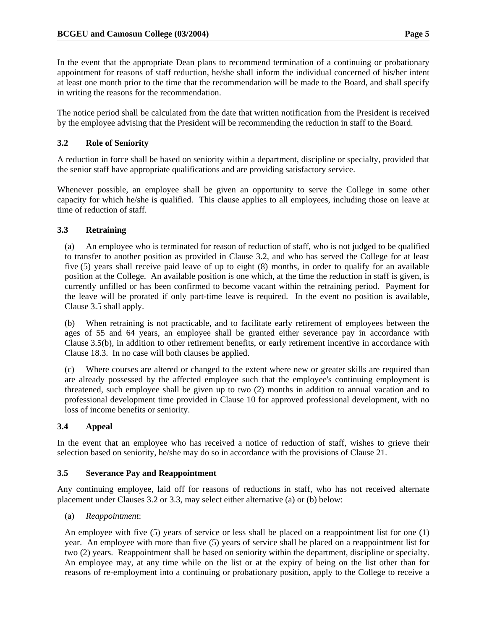In the event that the appropriate Dean plans to recommend termination of a continuing or probationary appointment for reasons of staff reduction, he/she shall inform the individual concerned of his/her intent at least one month prior to the time that the recommendation will be made to the Board, and shall specify in writing the reasons for the recommendation.

The notice period shall be calculated from the date that written notification from the President is received by the employee advising that the President will be recommending the reduction in staff to the Board.

# **3.2 Role of Seniority**

A reduction in force shall be based on seniority within a department, discipline or specialty, provided that the senior staff have appropriate qualifications and are providing satisfactory service.

Whenever possible, an employee shall be given an opportunity to serve the College in some other capacity for which he/she is qualified. This clause applies to all employees, including those on leave at time of reduction of staff.

# **3.3 Retraining**

(a) An employee who is terminated for reason of reduction of staff, who is not judged to be qualified to transfer to another position as provided in Clause 3.2, and who has served the College for at least five (5) years shall receive paid leave of up to eight (8) months, in order to qualify for an available position at the College. An available position is one which, at the time the reduction in staff is given, is currently unfilled or has been confirmed to become vacant within the retraining period. Payment for the leave will be prorated if only part-time leave is required. In the event no position is available, Clause 3.5 shall apply.

(b) When retraining is not practicable, and to facilitate early retirement of employees between the ages of 55 and 64 years, an employee shall be granted either severance pay in accordance with Clause 3.5(b), in addition to other retirement benefits, or early retirement incentive in accordance with Clause 18.3. In no case will both clauses be applied.

(c) Where courses are altered or changed to the extent where new or greater skills are required than are already possessed by the affected employee such that the employee's continuing employment is threatened, such employee shall be given up to two (2) months in addition to annual vacation and to professional development time provided in Clause 10 for approved professional development, with no loss of income benefits or seniority.

# **3.4 Appeal**

In the event that an employee who has received a notice of reduction of staff, wishes to grieve their selection based on seniority, he/she may do so in accordance with the provisions of Clause 21.

# **3.5 Severance Pay and Reappointment**

Any continuing employee, laid off for reasons of reductions in staff, who has not received alternate placement under Clauses 3.2 or 3.3, may select either alternative (a) or (b) below:

(a) *Reappointment*:

An employee with five (5) years of service or less shall be placed on a reappointment list for one (1) year. An employee with more than five (5) years of service shall be placed on a reappointment list for two (2) years. Reappointment shall be based on seniority within the department, discipline or specialty. An employee may, at any time while on the list or at the expiry of being on the list other than for reasons of re-employment into a continuing or probationary position, apply to the College to receive a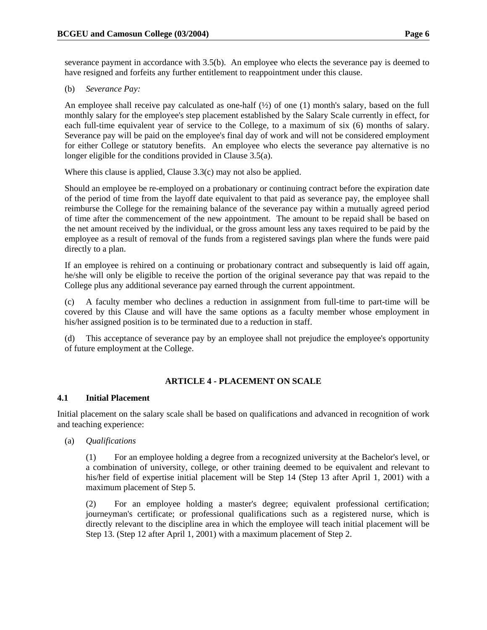severance payment in accordance with 3.5(b). An employee who elects the severance pay is deemed to have resigned and forfeits any further entitlement to reappointment under this clause.

### (b) *Severance Pay:*

An employee shall receive pay calculated as one-half  $(\frac{1}{2})$  of one (1) month's salary, based on the full monthly salary for the employee's step placement established by the Salary Scale currently in effect, for each full-time equivalent year of service to the College, to a maximum of six (6) months of salary. Severance pay will be paid on the employee's final day of work and will not be considered employment for either College or statutory benefits. An employee who elects the severance pay alternative is no longer eligible for the conditions provided in Clause 3.5(a).

Where this clause is applied, Clause 3.3(c) may not also be applied.

Should an employee be re-employed on a probationary or continuing contract before the expiration date of the period of time from the layoff date equivalent to that paid as severance pay, the employee shall reimburse the College for the remaining balance of the severance pay within a mutually agreed period of time after the commencement of the new appointment. The amount to be repaid shall be based on the net amount received by the individual, or the gross amount less any taxes required to be paid by the employee as a result of removal of the funds from a registered savings plan where the funds were paid directly to a plan.

If an employee is rehired on a continuing or probationary contract and subsequently is laid off again, he/she will only be eligible to receive the portion of the original severance pay that was repaid to the College plus any additional severance pay earned through the current appointment.

(c) A faculty member who declines a reduction in assignment from full-time to part-time will be covered by this Clause and will have the same options as a faculty member whose employment in his/her assigned position is to be terminated due to a reduction in staff.

(d) This acceptance of severance pay by an employee shall not prejudice the employee's opportunity of future employment at the College.

# **ARTICLE 4 - PLACEMENT ON SCALE**

#### **4.1 Initial Placement**

Initial placement on the salary scale shall be based on qualifications and advanced in recognition of work and teaching experience:

(a) *Qualifications*

(1) For an employee holding a degree from a recognized university at the Bachelor's level, or a combination of university, college, or other training deemed to be equivalent and relevant to his/her field of expertise initial placement will be Step 14 (Step 13 after April 1, 2001) with a maximum placement of Step 5.

(2) For an employee holding a master's degree; equivalent professional certification; journeyman's certificate; or professional qualifications such as a registered nurse, which is directly relevant to the discipline area in which the employee will teach initial placement will be Step 13. (Step 12 after April 1, 2001) with a maximum placement of Step 2.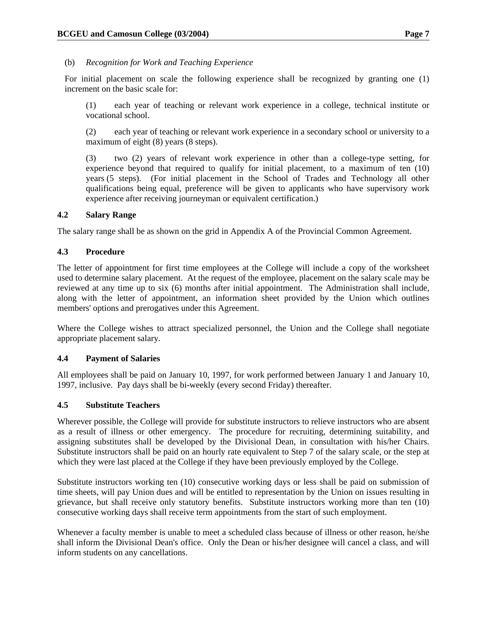#### (b) *Recognition for Work and Teaching Experience*

For initial placement on scale the following experience shall be recognized by granting one (1) increment on the basic scale for:

(1) each year of teaching or relevant work experience in a college, technical institute or vocational school.

(2) each year of teaching or relevant work experience in a secondary school or university to a maximum of eight (8) years (8 steps).

(3) two (2) years of relevant work experience in other than a college-type setting, for experience beyond that required to qualify for initial placement, to a maximum of ten (10) years (5 steps). (For initial placement in the School of Trades and Technology all other qualifications being equal, preference will be given to applicants who have supervisory work experience after receiving journeyman or equivalent certification.)

#### **4.2 Salary Range**

The salary range shall be as shown on the grid in Appendix A of the Provincial Common Agreement.

#### **4.3 Procedure**

The letter of appointment for first time employees at the College will include a copy of the worksheet used to determine salary placement. At the request of the employee, placement on the salary scale may be reviewed at any time up to six (6) months after initial appointment. The Administration shall include, along with the letter of appointment, an information sheet provided by the Union which outlines members' options and prerogatives under this Agreement.

Where the College wishes to attract specialized personnel, the Union and the College shall negotiate appropriate placement salary.

#### **4.4 Payment of Salaries**

All employees shall be paid on January 10, 1997, for work performed between January 1 and January 10, 1997, inclusive. Pay days shall be bi-weekly (every second Friday) thereafter.

#### **4.5 Substitute Teachers**

Wherever possible, the College will provide for substitute instructors to relieve instructors who are absent as a result of illness or other emergency. The procedure for recruiting, determining suitability, and assigning substitutes shall be developed by the Divisional Dean, in consultation with his/her Chairs. Substitute instructors shall be paid on an hourly rate equivalent to Step 7 of the salary scale, or the step at which they were last placed at the College if they have been previously employed by the College.

Substitute instructors working ten (10) consecutive working days or less shall be paid on submission of time sheets, will pay Union dues and will be entitled to representation by the Union on issues resulting in grievance, but shall receive only statutory benefits. Substitute instructors working more than ten (10) consecutive working days shall receive term appointments from the start of such employment.

Whenever a faculty member is unable to meet a scheduled class because of illness or other reason, he/she shall inform the Divisional Dean's office. Only the Dean or his/her designee will cancel a class, and will inform students on any cancellations.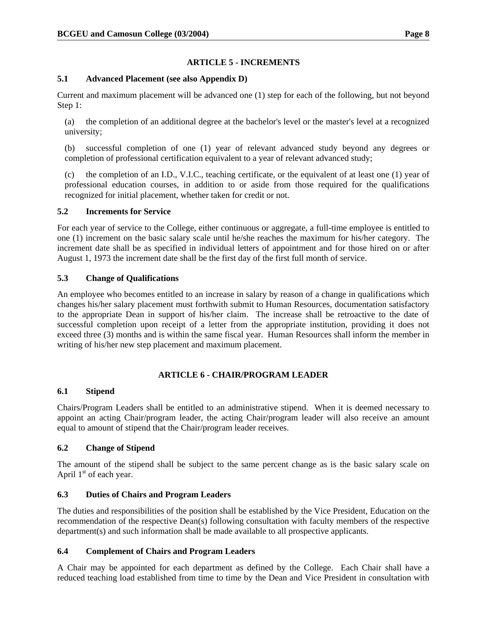# **ARTICLE 5 - INCREMENTS**

# **5.1 Advanced Placement (see also Appendix D)**

Current and maximum placement will be advanced one (1) step for each of the following, but not beyond Step 1:

(a) the completion of an additional degree at the bachelor's level or the master's level at a recognized university;

(b) successful completion of one (1) year of relevant advanced study beyond any degrees or completion of professional certification equivalent to a year of relevant advanced study;

(c) the completion of an I.D., V.I.C., teaching certificate, or the equivalent of at least one (1) year of professional education courses, in addition to or aside from those required for the qualifications recognized for initial placement, whether taken for credit or not.

#### **5.2 Increments for Service**

For each year of service to the College, either continuous or aggregate, a full-time employee is entitled to one (1) increment on the basic salary scale until he/she reaches the maximum for his/her category. The increment date shall be as specified in individual letters of appointment and for those hired on or after August 1, 1973 the increment date shall be the first day of the first full month of service.

# **5.3 Change of Qualifications**

An employee who becomes entitled to an increase in salary by reason of a change in qualifications which changes his/her salary placement must forthwith submit to Human Resources, documentation satisfactory to the appropriate Dean in support of his/her claim. The increase shall be retroactive to the date of successful completion upon receipt of a letter from the appropriate institution, providing it does not exceed three (3) months and is within the same fiscal year. Human Resources shall inform the member in writing of his/her new step placement and maximum placement.

# **ARTICLE 6 - CHAIR/PROGRAM LEADER**

#### **6.1 Stipend**

Chairs/Program Leaders shall be entitled to an administrative stipend. When it is deemed necessary to appoint an acting Chair/program leader, the acting Chair/program leader will also receive an amount equal to amount of stipend that the Chair/program leader receives.

# **6.2 Change of Stipend**

The amount of the stipend shall be subject to the same percent change as is the basic salary scale on April  $1<sup>st</sup>$  of each year.

# **6.3 Duties of Chairs and Program Leaders**

The duties and responsibilities of the position shall be established by the Vice President, Education on the recommendation of the respective Dean(s) following consultation with faculty members of the respective department(s) and such information shall be made available to all prospective applicants.

# **6.4 Complement of Chairs and Program Leaders**

A Chair may be appointed for each department as defined by the College. Each Chair shall have a reduced teaching load established from time to time by the Dean and Vice President in consultation with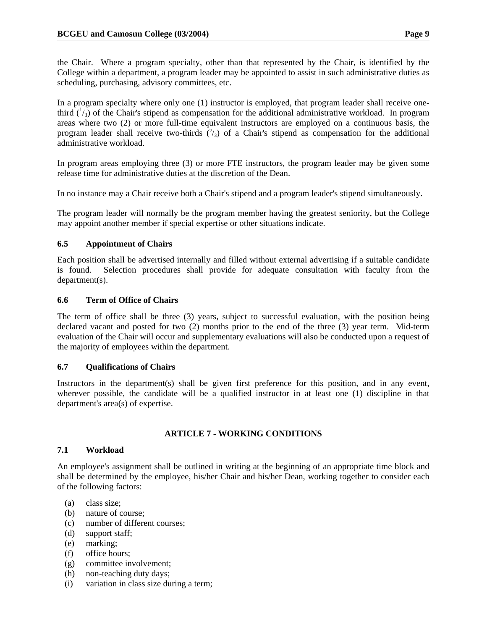the Chair. Where a program specialty, other than that represented by the Chair, is identified by the College within a department, a program leader may be appointed to assist in such administrative duties as scheduling, purchasing, advisory committees, etc.

In a program specialty where only one (1) instructor is employed, that program leader shall receive onethird  $\binom{1}{3}$  of the Chair's stipend as compensation for the additional administrative workload. In program areas where two (2) or more full-time equivalent instructors are employed on a continuous basis, the program leader shall receive two-thirds  $(^{2}/_{3})$  of a Chair's stipend as compensation for the additional administrative workload.

In program areas employing three (3) or more FTE instructors, the program leader may be given some release time for administrative duties at the discretion of the Dean.

In no instance may a Chair receive both a Chair's stipend and a program leader's stipend simultaneously.

The program leader will normally be the program member having the greatest seniority, but the College may appoint another member if special expertise or other situations indicate.

# **6.5 Appointment of Chairs**

Each position shall be advertised internally and filled without external advertising if a suitable candidate is found. Selection procedures shall provide for adequate consultation with faculty from the department(s).

# **6.6 Term of Office of Chairs**

The term of office shall be three (3) years, subject to successful evaluation, with the position being declared vacant and posted for two (2) months prior to the end of the three (3) year term. Mid-term evaluation of the Chair will occur and supplementary evaluations will also be conducted upon a request of the majority of employees within the department.

# **6.7 Qualifications of Chairs**

Instructors in the department(s) shall be given first preference for this position, and in any event, wherever possible, the candidate will be a qualified instructor in at least one (1) discipline in that department's area(s) of expertise.

# **ARTICLE 7 - WORKING CONDITIONS**

# **7.1 Workload**

An employee's assignment shall be outlined in writing at the beginning of an appropriate time block and shall be determined by the employee, his/her Chair and his/her Dean, working together to consider each of the following factors:

- (a) class size;
- (b) nature of course;
- (c) number of different courses;
- (d) support staff;
- (e) marking;
- (f) office hours;
- (g) committee involvement;
- (h) non-teaching duty days;
- (i) variation in class size during a term;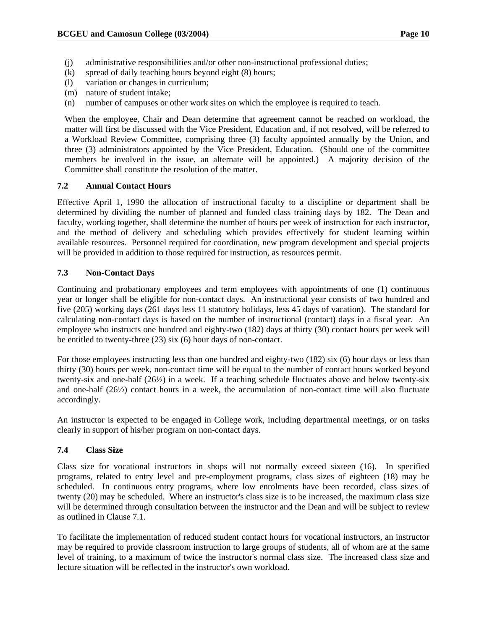- (j) administrative responsibilities and/or other non-instructional professional duties;
- (k) spread of daily teaching hours beyond eight (8) hours;
- (l) variation or changes in curriculum;
- (m) nature of student intake;
- (n) number of campuses or other work sites on which the employee is required to teach.

When the employee, Chair and Dean determine that agreement cannot be reached on workload, the matter will first be discussed with the Vice President, Education and, if not resolved, will be referred to a Workload Review Committee, comprising three (3) faculty appointed annually by the Union, and three (3) administrators appointed by the Vice President, Education. (Should one of the committee members be involved in the issue, an alternate will be appointed.) A majority decision of the Committee shall constitute the resolution of the matter.

# **7.2 Annual Contact Hours**

Effective April 1, 1990 the allocation of instructional faculty to a discipline or department shall be determined by dividing the number of planned and funded class training days by 182. The Dean and faculty, working together, shall determine the number of hours per week of instruction for each instructor, and the method of delivery and scheduling which provides effectively for student learning within available resources. Personnel required for coordination, new program development and special projects will be provided in addition to those required for instruction, as resources permit.

# **7.3 Non-Contact Days**

Continuing and probationary employees and term employees with appointments of one (1) continuous year or longer shall be eligible for non-contact days. An instructional year consists of two hundred and five (205) working days (261 days less 11 statutory holidays, less 45 days of vacation). The standard for calculating non-contact days is based on the number of instructional (contact) days in a fiscal year. An employee who instructs one hundred and eighty-two (182) days at thirty (30) contact hours per week will be entitled to twenty-three (23) six (6) hour days of non-contact.

For those employees instructing less than one hundred and eighty-two (182) six (6) hour days or less than thirty (30) hours per week, non-contact time will be equal to the number of contact hours worked beyond twenty-six and one-half (26½) in a week. If a teaching schedule fluctuates above and below twenty-six and one-half (26½) contact hours in a week, the accumulation of non-contact time will also fluctuate accordingly.

An instructor is expected to be engaged in College work, including departmental meetings, or on tasks clearly in support of his/her program on non-contact days.

# **7.4 Class Size**

Class size for vocational instructors in shops will not normally exceed sixteen (16). In specified programs, related to entry level and pre-employment programs, class sizes of eighteen (18) may be scheduled. In continuous entry programs, where low enrolments have been recorded, class sizes of twenty (20) may be scheduled. Where an instructor's class size is to be increased, the maximum class size will be determined through consultation between the instructor and the Dean and will be subject to review as outlined in Clause 7.1.

To facilitate the implementation of reduced student contact hours for vocational instructors, an instructor may be required to provide classroom instruction to large groups of students, all of whom are at the same level of training, to a maximum of twice the instructor's normal class size. The increased class size and lecture situation will be reflected in the instructor's own workload.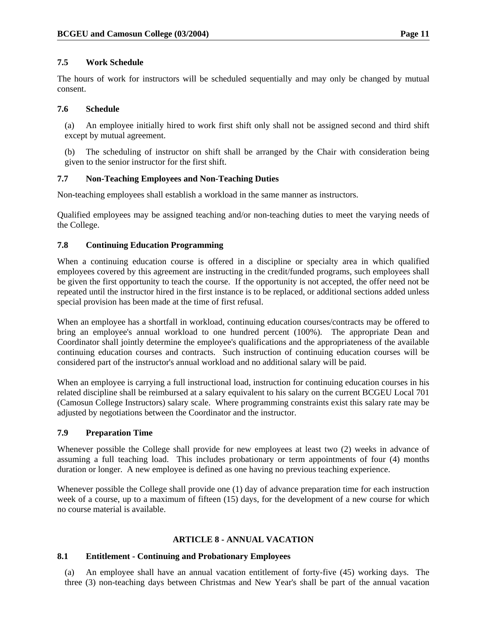# **7.5 Work Schedule**

The hours of work for instructors will be scheduled sequentially and may only be changed by mutual consent.

# **7.6 Schedule**

(a) An employee initially hired to work first shift only shall not be assigned second and third shift except by mutual agreement.

(b) The scheduling of instructor on shift shall be arranged by the Chair with consideration being given to the senior instructor for the first shift.

# **7.7 Non-Teaching Employees and Non-Teaching Duties**

Non-teaching employees shall establish a workload in the same manner as instructors.

Qualified employees may be assigned teaching and/or non-teaching duties to meet the varying needs of the College.

# **7.8 Continuing Education Programming**

When a continuing education course is offered in a discipline or specialty area in which qualified employees covered by this agreement are instructing in the credit/funded programs, such employees shall be given the first opportunity to teach the course. If the opportunity is not accepted, the offer need not be repeated until the instructor hired in the first instance is to be replaced, or additional sections added unless special provision has been made at the time of first refusal.

When an employee has a shortfall in workload, continuing education courses/contracts may be offered to bring an employee's annual workload to one hundred percent (100%). The appropriate Dean and Coordinator shall jointly determine the employee's qualifications and the appropriateness of the available continuing education courses and contracts. Such instruction of continuing education courses will be considered part of the instructor's annual workload and no additional salary will be paid.

When an employee is carrying a full instructional load, instruction for continuing education courses in his related discipline shall be reimbursed at a salary equivalent to his salary on the current BCGEU Local 701 (Camosun College Instructors) salary scale. Where programming constraints exist this salary rate may be adjusted by negotiations between the Coordinator and the instructor.

#### **7.9 Preparation Time**

Whenever possible the College shall provide for new employees at least two (2) weeks in advance of assuming a full teaching load. This includes probationary or term appointments of four (4) months duration or longer. A new employee is defined as one having no previous teaching experience.

Whenever possible the College shall provide one (1) day of advance preparation time for each instruction week of a course, up to a maximum of fifteen (15) days, for the development of a new course for which no course material is available.

# **ARTICLE 8 - ANNUAL VACATION**

# **8.1 Entitlement - Continuing and Probationary Employees**

(a) An employee shall have an annual vacation entitlement of forty-five (45) working days. The three (3) non-teaching days between Christmas and New Year's shall be part of the annual vacation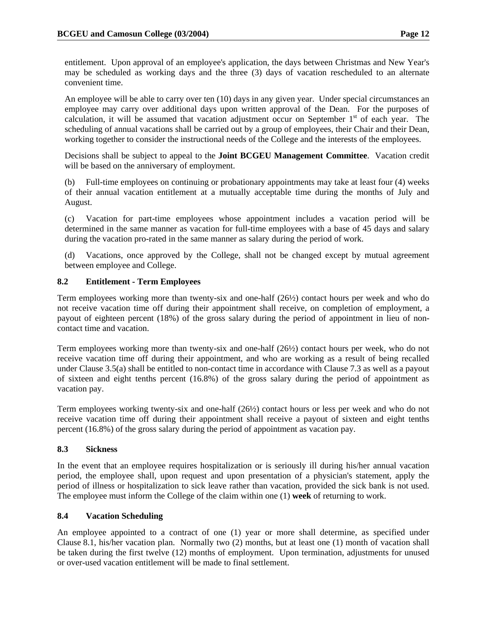entitlement. Upon approval of an employee's application, the days between Christmas and New Year's may be scheduled as working days and the three (3) days of vacation rescheduled to an alternate convenient time.

An employee will be able to carry over ten (10) days in any given year. Under special circumstances an employee may carry over additional days upon written approval of the Dean. For the purposes of calculation, it will be assumed that vacation adjustment occur on September  $1<sup>st</sup>$  of each year. The scheduling of annual vacations shall be carried out by a group of employees, their Chair and their Dean, working together to consider the instructional needs of the College and the interests of the employees.

Decisions shall be subject to appeal to the **Joint BCGEU Management Committee**. Vacation credit will be based on the anniversary of employment.

(b) Full-time employees on continuing or probationary appointments may take at least four (4) weeks of their annual vacation entitlement at a mutually acceptable time during the months of July and August.

(c) Vacation for part-time employees whose appointment includes a vacation period will be determined in the same manner as vacation for full-time employees with a base of 45 days and salary during the vacation pro-rated in the same manner as salary during the period of work.

(d) Vacations, once approved by the College, shall not be changed except by mutual agreement between employee and College.

# **8.2 Entitlement - Term Employees**

Term employees working more than twenty-six and one-half (26½) contact hours per week and who do not receive vacation time off during their appointment shall receive, on completion of employment, a payout of eighteen percent (18%) of the gross salary during the period of appointment in lieu of noncontact time and vacation.

Term employees working more than twenty-six and one-half (26½) contact hours per week, who do not receive vacation time off during their appointment, and who are working as a result of being recalled under Clause 3.5(a) shall be entitled to non-contact time in accordance with Clause 7.3 as well as a payout of sixteen and eight tenths percent (16.8%) of the gross salary during the period of appointment as vacation pay.

Term employees working twenty-six and one-half (26½) contact hours or less per week and who do not receive vacation time off during their appointment shall receive a payout of sixteen and eight tenths percent (16.8%) of the gross salary during the period of appointment as vacation pay.

#### **8.3 Sickness**

In the event that an employee requires hospitalization or is seriously ill during his/her annual vacation period, the employee shall, upon request and upon presentation of a physician's statement, apply the period of illness or hospitalization to sick leave rather than vacation, provided the sick bank is not used. The employee must inform the College of the claim within one (1) **week** of returning to work.

#### **8.4 Vacation Scheduling**

An employee appointed to a contract of one (1) year or more shall determine, as specified under Clause 8.1, his/her vacation plan. Normally two (2) months, but at least one (1) month of vacation shall be taken during the first twelve (12) months of employment. Upon termination, adjustments for unused or over-used vacation entitlement will be made to final settlement.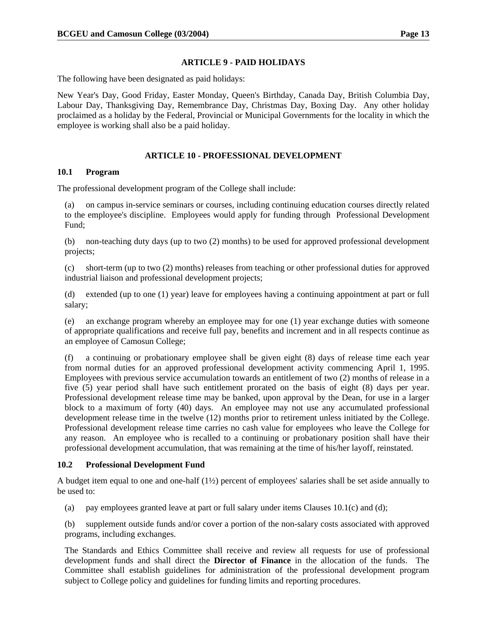#### **ARTICLE 9 - PAID HOLIDAYS**

The following have been designated as paid holidays:

New Year's Day, Good Friday, Easter Monday, Queen's Birthday, Canada Day, British Columbia Day, Labour Day, Thanksgiving Day, Remembrance Day, Christmas Day, Boxing Day. Any other holiday proclaimed as a holiday by the Federal, Provincial or Municipal Governments for the locality in which the employee is working shall also be a paid holiday.

# **ARTICLE 10 - PROFESSIONAL DEVELOPMENT**

# **10.1 Program**

The professional development program of the College shall include:

(a) on campus in-service seminars or courses, including continuing education courses directly related to the employee's discipline. Employees would apply for funding through Professional Development Fund;

(b) non-teaching duty days (up to two (2) months) to be used for approved professional development projects;

(c) short-term (up to two (2) months) releases from teaching or other professional duties for approved industrial liaison and professional development projects;

(d) extended (up to one (1) year) leave for employees having a continuing appointment at part or full salary;

(e) an exchange program whereby an employee may for one (1) year exchange duties with someone of appropriate qualifications and receive full pay, benefits and increment and in all respects continue as an employee of Camosun College;

(f) a continuing or probationary employee shall be given eight (8) days of release time each year from normal duties for an approved professional development activity commencing April 1, 1995. Employees with previous service accumulation towards an entitlement of two (2) months of release in a five (5) year period shall have such entitlement prorated on the basis of eight (8) days per year. Professional development release time may be banked, upon approval by the Dean, for use in a larger block to a maximum of forty (40) days. An employee may not use any accumulated professional development release time in the twelve (12) months prior to retirement unless initiated by the College. Professional development release time carries no cash value for employees who leave the College for any reason. An employee who is recalled to a continuing or probationary position shall have their professional development accumulation, that was remaining at the time of his/her layoff, reinstated.

# **10.2 Professional Development Fund**

A budget item equal to one and one-half  $(1/2)$  percent of employees' salaries shall be set aside annually to be used to:

(a) pay employees granted leave at part or full salary under items Clauses  $10.1(c)$  and (d);

(b) supplement outside funds and/or cover a portion of the non-salary costs associated with approved programs, including exchanges.

The Standards and Ethics Committee shall receive and review all requests for use of professional development funds and shall direct the **Director of Finance** in the allocation of the funds. The Committee shall establish guidelines for administration of the professional development program subject to College policy and guidelines for funding limits and reporting procedures.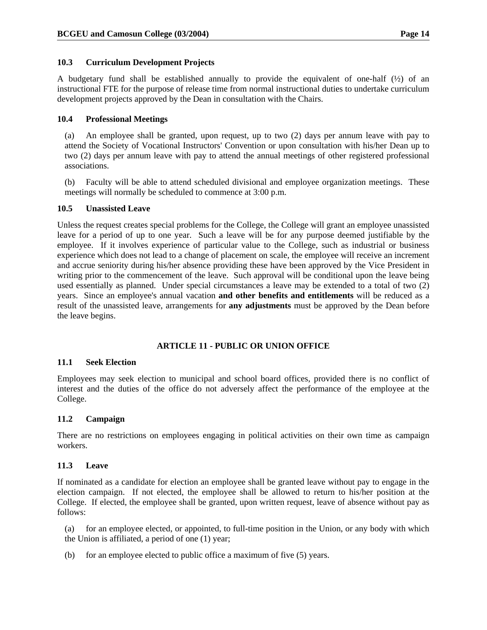# **10.3 Curriculum Development Projects**

A budgetary fund shall be established annually to provide the equivalent of one-half (½) of an instructional FTE for the purpose of release time from normal instructional duties to undertake curriculum development projects approved by the Dean in consultation with the Chairs.

# **10.4 Professional Meetings**

(a) An employee shall be granted, upon request, up to two (2) days per annum leave with pay to attend the Society of Vocational Instructors' Convention or upon consultation with his/her Dean up to two (2) days per annum leave with pay to attend the annual meetings of other registered professional associations.

(b) Faculty will be able to attend scheduled divisional and employee organization meetings. These meetings will normally be scheduled to commence at 3:00 p.m.

#### **10.5 Unassisted Leave**

Unless the request creates special problems for the College, the College will grant an employee unassisted leave for a period of up to one year. Such a leave will be for any purpose deemed justifiable by the employee. If it involves experience of particular value to the College, such as industrial or business experience which does not lead to a change of placement on scale, the employee will receive an increment and accrue seniority during his/her absence providing these have been approved by the Vice President in writing prior to the commencement of the leave. Such approval will be conditional upon the leave being used essentially as planned. Under special circumstances a leave may be extended to a total of two (2) years. Since an employee's annual vacation **and other benefits and entitlements** will be reduced as a result of the unassisted leave, arrangements for **any adjustments** must be approved by the Dean before the leave begins.

# **ARTICLE 11 - PUBLIC OR UNION OFFICE**

#### **11.1 Seek Election**

Employees may seek election to municipal and school board offices, provided there is no conflict of interest and the duties of the office do not adversely affect the performance of the employee at the College.

#### **11.2 Campaign**

There are no restrictions on employees engaging in political activities on their own time as campaign workers.

#### **11.3 Leave**

If nominated as a candidate for election an employee shall be granted leave without pay to engage in the election campaign. If not elected, the employee shall be allowed to return to his/her position at the College. If elected, the employee shall be granted, upon written request, leave of absence without pay as follows:

(a) for an employee elected, or appointed, to full-time position in the Union, or any body with which the Union is affiliated, a period of one (1) year;

(b) for an employee elected to public office a maximum of five (5) years.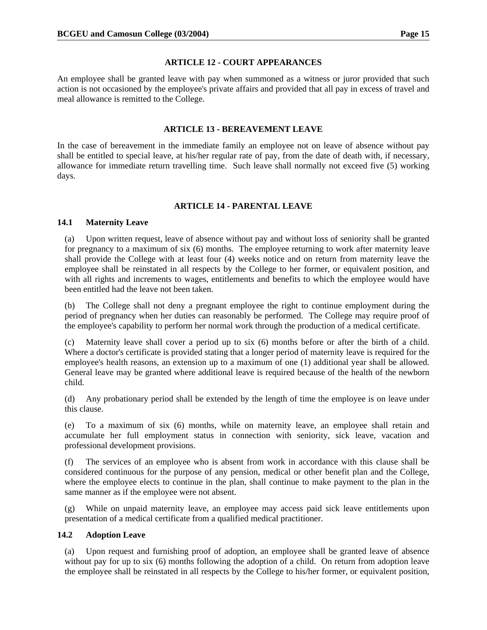#### **ARTICLE 12 - COURT APPEARANCES**

An employee shall be granted leave with pay when summoned as a witness or juror provided that such action is not occasioned by the employee's private affairs and provided that all pay in excess of travel and meal allowance is remitted to the College.

### **ARTICLE 13 - BEREAVEMENT LEAVE**

In the case of bereavement in the immediate family an employee not on leave of absence without pay shall be entitled to special leave, at his/her regular rate of pay, from the date of death with, if necessary, allowance for immediate return travelling time. Such leave shall normally not exceed five (5) working days.

# **ARTICLE 14 - PARENTAL LEAVE**

#### **14.1 Maternity Leave**

(a) Upon written request, leave of absence without pay and without loss of seniority shall be granted for pregnancy to a maximum of six (6) months. The employee returning to work after maternity leave shall provide the College with at least four (4) weeks notice and on return from maternity leave the employee shall be reinstated in all respects by the College to her former, or equivalent position, and with all rights and increments to wages, entitlements and benefits to which the employee would have been entitled had the leave not been taken.

(b) The College shall not deny a pregnant employee the right to continue employment during the period of pregnancy when her duties can reasonably be performed. The College may require proof of the employee's capability to perform her normal work through the production of a medical certificate.

(c) Maternity leave shall cover a period up to six (6) months before or after the birth of a child. Where a doctor's certificate is provided stating that a longer period of maternity leave is required for the employee's health reasons, an extension up to a maximum of one (1) additional year shall be allowed. General leave may be granted where additional leave is required because of the health of the newborn child.

(d) Any probationary period shall be extended by the length of time the employee is on leave under this clause.

(e) To a maximum of six (6) months, while on maternity leave, an employee shall retain and accumulate her full employment status in connection with seniority, sick leave, vacation and professional development provisions.

(f) The services of an employee who is absent from work in accordance with this clause shall be considered continuous for the purpose of any pension, medical or other benefit plan and the College, where the employee elects to continue in the plan, shall continue to make payment to the plan in the same manner as if the employee were not absent.

(g) While on unpaid maternity leave, an employee may access paid sick leave entitlements upon presentation of a medical certificate from a qualified medical practitioner.

#### **14.2 Adoption Leave**

(a) Upon request and furnishing proof of adoption, an employee shall be granted leave of absence without pay for up to six (6) months following the adoption of a child. On return from adoption leave the employee shall be reinstated in all respects by the College to his/her former, or equivalent position,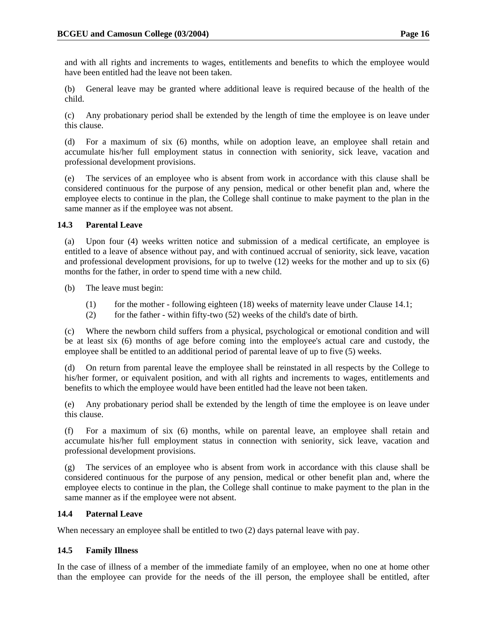and with all rights and increments to wages, entitlements and benefits to which the employee would have been entitled had the leave not been taken.

(b) General leave may be granted where additional leave is required because of the health of the child.

(c) Any probationary period shall be extended by the length of time the employee is on leave under this clause.

(d) For a maximum of six (6) months, while on adoption leave, an employee shall retain and accumulate his/her full employment status in connection with seniority, sick leave, vacation and professional development provisions.

(e) The services of an employee who is absent from work in accordance with this clause shall be considered continuous for the purpose of any pension, medical or other benefit plan and, where the employee elects to continue in the plan, the College shall continue to make payment to the plan in the same manner as if the employee was not absent.

#### **14.3 Parental Leave**

(a) Upon four (4) weeks written notice and submission of a medical certificate, an employee is entitled to a leave of absence without pay, and with continued accrual of seniority, sick leave, vacation and professional development provisions, for up to twelve (12) weeks for the mother and up to six (6) months for the father, in order to spend time with a new child.

(b) The leave must begin:

- (1) for the mother following eighteen  $(18)$  weeks of maternity leave under Clause 14.1;
- (2) for the father within fifty-two  $(52)$  weeks of the child's date of birth.

(c) Where the newborn child suffers from a physical, psychological or emotional condition and will be at least six (6) months of age before coming into the employee's actual care and custody, the employee shall be entitled to an additional period of parental leave of up to five (5) weeks.

(d) On return from parental leave the employee shall be reinstated in all respects by the College to his/her former, or equivalent position, and with all rights and increments to wages, entitlements and benefits to which the employee would have been entitled had the leave not been taken.

(e) Any probationary period shall be extended by the length of time the employee is on leave under this clause.

(f) For a maximum of six (6) months, while on parental leave, an employee shall retain and accumulate his/her full employment status in connection with seniority, sick leave, vacation and professional development provisions.

(g) The services of an employee who is absent from work in accordance with this clause shall be considered continuous for the purpose of any pension, medical or other benefit plan and, where the employee elects to continue in the plan, the College shall continue to make payment to the plan in the same manner as if the employee were not absent.

#### **14.4 Paternal Leave**

When necessary an employee shall be entitled to two  $(2)$  days paternal leave with pay.

#### **14.5 Family Illness**

In the case of illness of a member of the immediate family of an employee, when no one at home other than the employee can provide for the needs of the ill person, the employee shall be entitled, after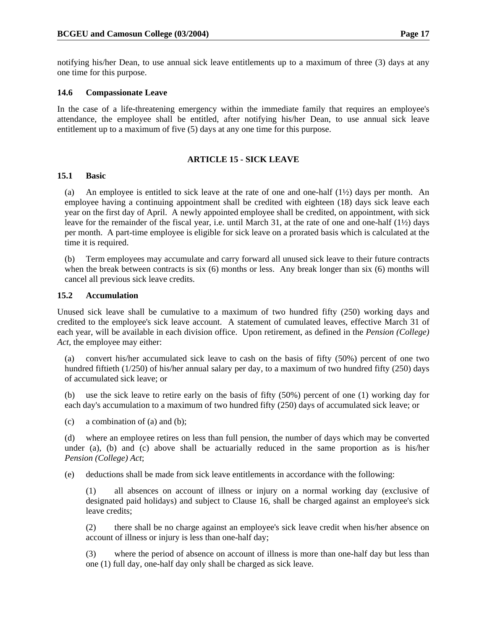notifying his/her Dean, to use annual sick leave entitlements up to a maximum of three (3) days at any one time for this purpose.

#### **14.6 Compassionate Leave**

In the case of a life-threatening emergency within the immediate family that requires an employee's attendance, the employee shall be entitled, after notifying his/her Dean, to use annual sick leave entitlement up to a maximum of five (5) days at any one time for this purpose.

#### **ARTICLE 15 - SICK LEAVE**

#### **15.1 Basic**

(a) An employee is entitled to sick leave at the rate of one and one-half  $(1\frac{1}{2})$  days per month. An employee having a continuing appointment shall be credited with eighteen (18) days sick leave each year on the first day of April. A newly appointed employee shall be credited, on appointment, with sick leave for the remainder of the fiscal year, i.e. until March 31, at the rate of one and one-half (1½) days per month. A part-time employee is eligible for sick leave on a prorated basis which is calculated at the time it is required.

(b) Term employees may accumulate and carry forward all unused sick leave to their future contracts when the break between contracts is six (6) months or less. Any break longer than six (6) months will cancel all previous sick leave credits.

#### **15.2 Accumulation**

Unused sick leave shall be cumulative to a maximum of two hundred fifty (250) working days and credited to the employee's sick leave account. A statement of cumulated leaves, effective March 31 of each year, will be available in each division office. Upon retirement, as defined in the *Pension (College) Act*, the employee may either:

(a) convert his/her accumulated sick leave to cash on the basis of fifty (50%) percent of one two hundred fiftieth (1/250) of his/her annual salary per day, to a maximum of two hundred fifty (250) days of accumulated sick leave; or

(b) use the sick leave to retire early on the basis of fifty (50%) percent of one (1) working day for each day's accumulation to a maximum of two hundred fifty (250) days of accumulated sick leave; or

(c) a combination of (a) and (b);

(d) where an employee retires on less than full pension, the number of days which may be converted under (a), (b) and (c) above shall be actuarially reduced in the same proportion as is his/her *Pension (College) Act*;

(e) deductions shall be made from sick leave entitlements in accordance with the following:

(1) all absences on account of illness or injury on a normal working day (exclusive of designated paid holidays) and subject to Clause 16, shall be charged against an employee's sick leave credits;

(2) there shall be no charge against an employee's sick leave credit when his/her absence on account of illness or injury is less than one-half day;

(3) where the period of absence on account of illness is more than one-half day but less than one (1) full day, one-half day only shall be charged as sick leave.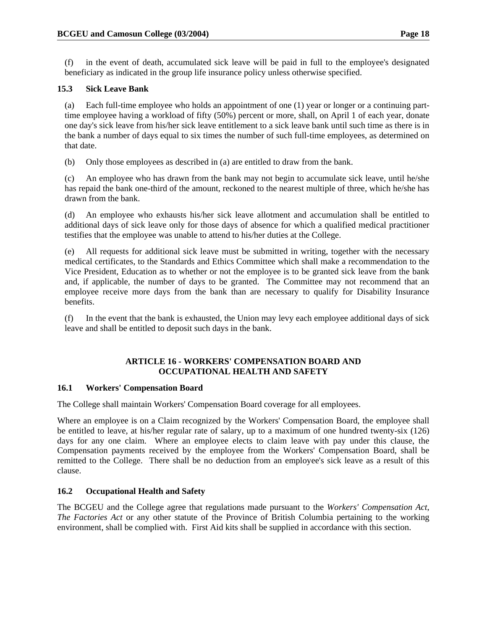(f) in the event of death, accumulated sick leave will be paid in full to the employee's designated beneficiary as indicated in the group life insurance policy unless otherwise specified.

# **15.3 Sick Leave Bank**

(a) Each full-time employee who holds an appointment of one (1) year or longer or a continuing parttime employee having a workload of fifty (50%) percent or more, shall, on April 1 of each year, donate one day's sick leave from his/her sick leave entitlement to a sick leave bank until such time as there is in the bank a number of days equal to six times the number of such full-time employees, as determined on that date.

(b) Only those employees as described in (a) are entitled to draw from the bank.

(c) An employee who has drawn from the bank may not begin to accumulate sick leave, until he/she has repaid the bank one-third of the amount, reckoned to the nearest multiple of three, which he/she has drawn from the bank.

(d) An employee who exhausts his/her sick leave allotment and accumulation shall be entitled to additional days of sick leave only for those days of absence for which a qualified medical practitioner testifies that the employee was unable to attend to his/her duties at the College.

(e) All requests for additional sick leave must be submitted in writing, together with the necessary medical certificates, to the Standards and Ethics Committee which shall make a recommendation to the Vice President, Education as to whether or not the employee is to be granted sick leave from the bank and, if applicable, the number of days to be granted. The Committee may not recommend that an employee receive more days from the bank than are necessary to qualify for Disability Insurance benefits.

(f) In the event that the bank is exhausted, the Union may levy each employee additional days of sick leave and shall be entitled to deposit such days in the bank.

# **ARTICLE 16 - WORKERS' COMPENSATION BOARD AND OCCUPATIONAL HEALTH AND SAFETY**

# **16.1 Workers' Compensation Board**

The College shall maintain Workers' Compensation Board coverage for all employees.

Where an employee is on a Claim recognized by the Workers' Compensation Board, the employee shall be entitled to leave, at his/her regular rate of salary, up to a maximum of one hundred twenty-six (126) days for any one claim. Where an employee elects to claim leave with pay under this clause, the Compensation payments received by the employee from the Workers' Compensation Board, shall be remitted to the College. There shall be no deduction from an employee's sick leave as a result of this clause.

# **16.2 Occupational Health and Safety**

The BCGEU and the College agree that regulations made pursuant to the *Workers' Compensation Act*, *The Factories Act* or any other statute of the Province of British Columbia pertaining to the working environment, shall be complied with. First Aid kits shall be supplied in accordance with this section.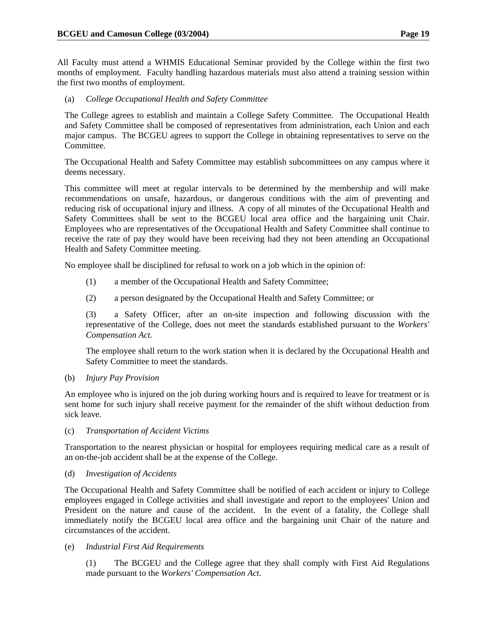All Faculty must attend a WHMIS Educational Seminar provided by the College within the first two months of employment. Faculty handling hazardous materials must also attend a training session within the first two months of employment.

(a) *College Occupational Health and Safety Committee* 

The College agrees to establish and maintain a College Safety Committee. The Occupational Health and Safety Committee shall be composed of representatives from administration, each Union and each major campus. The BCGEU agrees to support the College in obtaining representatives to serve on the Committee.

The Occupational Health and Safety Committee may establish subcommittees on any campus where it deems necessary.

This committee will meet at regular intervals to be determined by the membership and will make recommendations on unsafe, hazardous, or dangerous conditions with the aim of preventing and reducing risk of occupational injury and illness. A copy of all minutes of the Occupational Health and Safety Committees shall be sent to the BCGEU local area office and the bargaining unit Chair. Employees who are representatives of the Occupational Health and Safety Committee shall continue to receive the rate of pay they would have been receiving had they not been attending an Occupational Health and Safety Committee meeting.

No employee shall be disciplined for refusal to work on a job which in the opinion of:

- (1) a member of the Occupational Health and Safety Committee;
- (2) a person designated by the Occupational Health and Safety Committee; or

(3) a Safety Officer, after an on-site inspection and following discussion with the representative of the College, does not meet the standards established pursuant to the *Workers' Compensation Act.*

The employee shall return to the work station when it is declared by the Occupational Health and Safety Committee to meet the standards.

(b) *Injury Pay Provision* 

An employee who is injured on the job during working hours and is required to leave for treatment or is sent home for such injury shall receive payment for the remainder of the shift without deduction from sick leave.

#### (c) *Transportation of Accident Victims*

Transportation to the nearest physician or hospital for employees requiring medical care as a result of an on-the-job accident shall be at the expense of the College.

#### (d) *Investigation of Accidents*

The Occupational Health and Safety Committee shall be notified of each accident or injury to College employees engaged in College activities and shall investigate and report to the employees' Union and President on the nature and cause of the accident. In the event of a fatality, the College shall immediately notify the BCGEU local area office and the bargaining unit Chair of the nature and circumstances of the accident.

#### (e) *Industrial First Aid Requirements*

(1) The BCGEU and the College agree that they shall comply with First Aid Regulations made pursuant to the *Workers' Compensation Act*.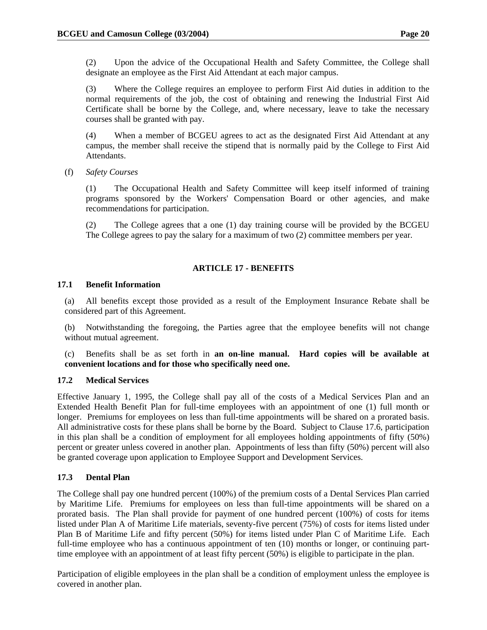(2) Upon the advice of the Occupational Health and Safety Committee, the College shall designate an employee as the First Aid Attendant at each major campus.

(3) Where the College requires an employee to perform First Aid duties in addition to the normal requirements of the job, the cost of obtaining and renewing the Industrial First Aid Certificate shall be borne by the College, and, where necessary, leave to take the necessary courses shall be granted with pay.

(4) When a member of BCGEU agrees to act as the designated First Aid Attendant at any campus, the member shall receive the stipend that is normally paid by the College to First Aid Attendants.

(f) *Safety Courses* 

(1) The Occupational Health and Safety Committee will keep itself informed of training programs sponsored by the Workers' Compensation Board or other agencies, and make recommendations for participation.

(2) The College agrees that a one (1) day training course will be provided by the BCGEU The College agrees to pay the salary for a maximum of two (2) committee members per year.

# **ARTICLE 17 - BENEFITS**

#### **17.1 Benefit Information**

(a) All benefits except those provided as a result of the Employment Insurance Rebate shall be considered part of this Agreement.

(b) Notwithstanding the foregoing, the Parties agree that the employee benefits will not change without mutual agreement.

(c) Benefits shall be as set forth in **an on-line manual. Hard copies will be available at convenient locations and for those who specifically need one.**

#### **17.2 Medical Services**

Effective January 1, 1995, the College shall pay all of the costs of a Medical Services Plan and an Extended Health Benefit Plan for full-time employees with an appointment of one (1) full month or longer. Premiums for employees on less than full-time appointments will be shared on a prorated basis. All administrative costs for these plans shall be borne by the Board. Subject to Clause 17.6, participation in this plan shall be a condition of employment for all employees holding appointments of fifty (50%) percent or greater unless covered in another plan. Appointments of less than fifty (50%) percent will also be granted coverage upon application to Employee Support and Development Services.

#### **17.3 Dental Plan**

The College shall pay one hundred percent (100%) of the premium costs of a Dental Services Plan carried by Maritime Life. Premiums for employees on less than full-time appointments will be shared on a prorated basis. The Plan shall provide for payment of one hundred percent (100%) of costs for items listed under Plan A of Maritime Life materials, seventy-five percent (75%) of costs for items listed under Plan B of Maritime Life and fifty percent (50%) for items listed under Plan C of Maritime Life. Each full-time employee who has a continuous appointment of ten (10) months or longer, or continuing parttime employee with an appointment of at least fifty percent (50%) is eligible to participate in the plan.

Participation of eligible employees in the plan shall be a condition of employment unless the employee is covered in another plan.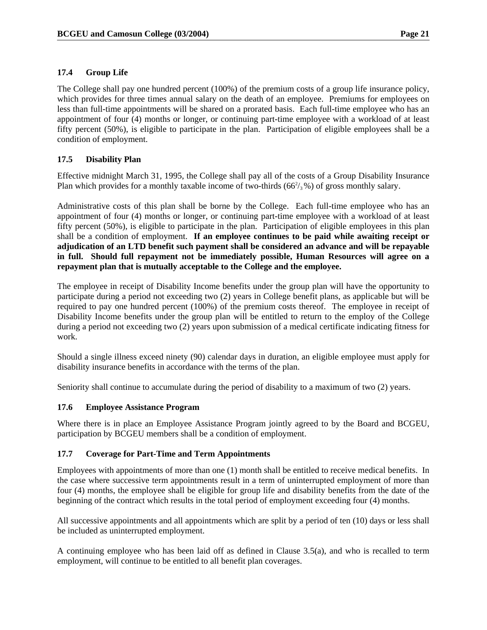# **17.4 Group Life**

The College shall pay one hundred percent (100%) of the premium costs of a group life insurance policy, which provides for three times annual salary on the death of an employee. Premiums for employees on less than full-time appointments will be shared on a prorated basis. Each full-time employee who has an appointment of four (4) months or longer, or continuing part-time employee with a workload of at least fifty percent (50%), is eligible to participate in the plan. Participation of eligible employees shall be a condition of employment.

# **17.5 Disability Plan**

Effective midnight March 31, 1995, the College shall pay all of the costs of a Group Disability Insurance Plan which provides for a monthly taxable income of two-thirds  $(66^2/3)$ % of gross monthly salary.

Administrative costs of this plan shall be borne by the College. Each full-time employee who has an appointment of four (4) months or longer, or continuing part-time employee with a workload of at least fifty percent (50%), is eligible to participate in the plan. Participation of eligible employees in this plan shall be a condition of employment. **If an employee continues to be paid while awaiting receipt or adjudication of an LTD benefit such payment shall be considered an advance and will be repayable in full. Should full repayment not be immediately possible, Human Resources will agree on a repayment plan that is mutually acceptable to the College and the employee.**

The employee in receipt of Disability Income benefits under the group plan will have the opportunity to participate during a period not exceeding two (2) years in College benefit plans, as applicable but will be required to pay one hundred percent (100%) of the premium costs thereof. The employee in receipt of Disability Income benefits under the group plan will be entitled to return to the employ of the College during a period not exceeding two (2) years upon submission of a medical certificate indicating fitness for work.

Should a single illness exceed ninety (90) calendar days in duration, an eligible employee must apply for disability insurance benefits in accordance with the terms of the plan.

Seniority shall continue to accumulate during the period of disability to a maximum of two (2) years.

# **17.6 Employee Assistance Program**

Where there is in place an Employee Assistance Program jointly agreed to by the Board and BCGEU, participation by BCGEU members shall be a condition of employment.

# **17.7 Coverage for Part-Time and Term Appointments**

Employees with appointments of more than one (1) month shall be entitled to receive medical benefits. In the case where successive term appointments result in a term of uninterrupted employment of more than four (4) months, the employee shall be eligible for group life and disability benefits from the date of the beginning of the contract which results in the total period of employment exceeding four (4) months.

All successive appointments and all appointments which are split by a period of ten (10) days or less shall be included as uninterrupted employment.

A continuing employee who has been laid off as defined in Clause 3.5(a), and who is recalled to term employment, will continue to be entitled to all benefit plan coverages.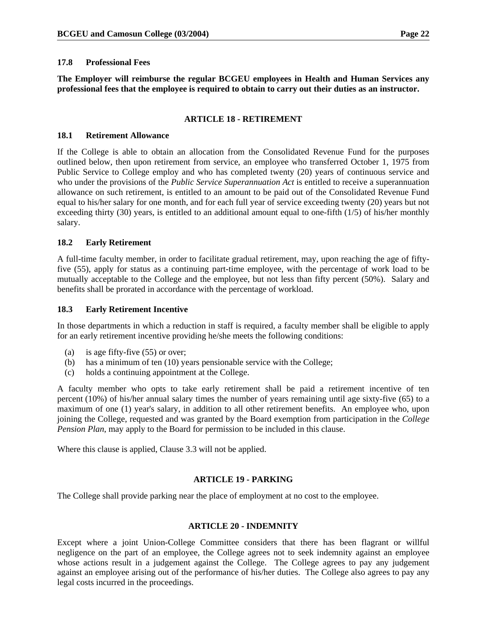#### **17.8 Professional Fees**

**The Employer will reimburse the regular BCGEU employees in Health and Human Services any professional fees that the employee is required to obtain to carry out their duties as an instructor.** 

#### **ARTICLE 18 - RETIREMENT**

#### **18.1 Retirement Allowance**

If the College is able to obtain an allocation from the Consolidated Revenue Fund for the purposes outlined below, then upon retirement from service, an employee who transferred October 1, 1975 from Public Service to College employ and who has completed twenty (20) years of continuous service and who under the provisions of the *Public Service Superannuation Act* is entitled to receive a superannuation allowance on such retirement, is entitled to an amount to be paid out of the Consolidated Revenue Fund equal to his/her salary for one month, and for each full year of service exceeding twenty (20) years but not exceeding thirty  $(30)$  years, is entitled to an additional amount equal to one-fifth  $(1/5)$  of his/her monthly salary.

#### **18.2 Early Retirement**

A full-time faculty member, in order to facilitate gradual retirement, may, upon reaching the age of fiftyfive (55), apply for status as a continuing part-time employee, with the percentage of work load to be mutually acceptable to the College and the employee, but not less than fifty percent (50%). Salary and benefits shall be prorated in accordance with the percentage of workload.

#### **18.3 Early Retirement Incentive**

In those departments in which a reduction in staff is required, a faculty member shall be eligible to apply for an early retirement incentive providing he/she meets the following conditions:

- (a) is age fifty-five (55) or over;
- (b) has a minimum of ten (10) years pensionable service with the College;
- (c) holds a continuing appointment at the College.

A faculty member who opts to take early retirement shall be paid a retirement incentive of ten percent (10%) of his/her annual salary times the number of years remaining until age sixty-five (65) to a maximum of one (1) year's salary, in addition to all other retirement benefits. An employee who, upon joining the College, requested and was granted by the Board exemption from participation in the *College Pension Plan*, may apply to the Board for permission to be included in this clause.

Where this clause is applied, Clause 3.3 will not be applied.

#### **ARTICLE 19 - PARKING**

The College shall provide parking near the place of employment at no cost to the employee.

#### **ARTICLE 20 - INDEMNITY**

Except where a joint Union-College Committee considers that there has been flagrant or willful negligence on the part of an employee, the College agrees not to seek indemnity against an employee whose actions result in a judgement against the College. The College agrees to pay any judgement against an employee arising out of the performance of his/her duties. The College also agrees to pay any legal costs incurred in the proceedings.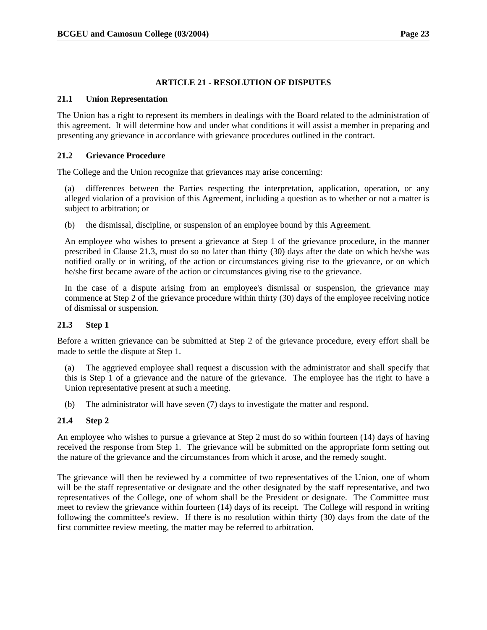### **ARTICLE 21 - RESOLUTION OF DISPUTES**

#### **21.1 Union Representation**

The Union has a right to represent its members in dealings with the Board related to the administration of this agreement. It will determine how and under what conditions it will assist a member in preparing and presenting any grievance in accordance with grievance procedures outlined in the contract.

#### **21.2 Grievance Procedure**

The College and the Union recognize that grievances may arise concerning:

(a) differences between the Parties respecting the interpretation, application, operation, or any alleged violation of a provision of this Agreement, including a question as to whether or not a matter is subject to arbitration; or

(b) the dismissal, discipline, or suspension of an employee bound by this Agreement.

An employee who wishes to present a grievance at Step 1 of the grievance procedure, in the manner prescribed in Clause 21.3, must do so no later than thirty (30) days after the date on which he/she was notified orally or in writing, of the action or circumstances giving rise to the grievance, or on which he/she first became aware of the action or circumstances giving rise to the grievance.

In the case of a dispute arising from an employee's dismissal or suspension, the grievance may commence at Step 2 of the grievance procedure within thirty (30) days of the employee receiving notice of dismissal or suspension.

#### **21.3 Step 1**

Before a written grievance can be submitted at Step 2 of the grievance procedure, every effort shall be made to settle the dispute at Step 1.

(a) The aggrieved employee shall request a discussion with the administrator and shall specify that this is Step 1 of a grievance and the nature of the grievance. The employee has the right to have a Union representative present at such a meeting.

(b) The administrator will have seven (7) days to investigate the matter and respond.

#### **21.4 Step 2**

An employee who wishes to pursue a grievance at Step 2 must do so within fourteen (14) days of having received the response from Step 1. The grievance will be submitted on the appropriate form setting out the nature of the grievance and the circumstances from which it arose, and the remedy sought.

The grievance will then be reviewed by a committee of two representatives of the Union, one of whom will be the staff representative or designate and the other designated by the staff representative, and two representatives of the College, one of whom shall be the President or designate. The Committee must meet to review the grievance within fourteen (14) days of its receipt. The College will respond in writing following the committee's review. If there is no resolution within thirty (30) days from the date of the first committee review meeting, the matter may be referred to arbitration.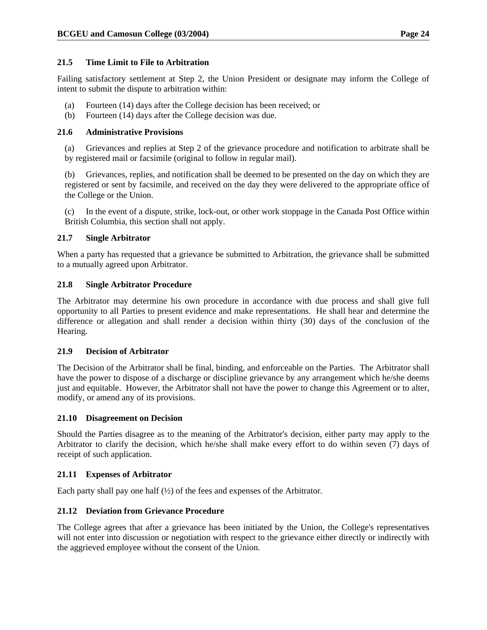# **21.5 Time Limit to File to Arbitration**

Failing satisfactory settlement at Step 2, the Union President or designate may inform the College of intent to submit the dispute to arbitration within:

- (a) Fourteen (14) days after the College decision has been received; or
- (b) Fourteen (14) days after the College decision was due.

# **21.6 Administrative Provisions**

(a) Grievances and replies at Step 2 of the grievance procedure and notification to arbitrate shall be by registered mail or facsimile (original to follow in regular mail).

(b) Grievances, replies, and notification shall be deemed to be presented on the day on which they are registered or sent by facsimile, and received on the day they were delivered to the appropriate office of the College or the Union.

(c) In the event of a dispute, strike, lock-out, or other work stoppage in the Canada Post Office within British Columbia, this section shall not apply.

# **21.7 Single Arbitrator**

When a party has requested that a grievance be submitted to Arbitration, the grievance shall be submitted to a mutually agreed upon Arbitrator.

# **21.8 Single Arbitrator Procedure**

The Arbitrator may determine his own procedure in accordance with due process and shall give full opportunity to all Parties to present evidence and make representations. He shall hear and determine the difference or allegation and shall render a decision within thirty (30) days of the conclusion of the Hearing.

#### **21.9 Decision of Arbitrator**

The Decision of the Arbitrator shall be final, binding, and enforceable on the Parties. The Arbitrator shall have the power to dispose of a discharge or discipline grievance by any arrangement which he/she deems just and equitable. However, the Arbitrator shall not have the power to change this Agreement or to alter, modify, or amend any of its provisions.

#### **21.10 Disagreement on Decision**

Should the Parties disagree as to the meaning of the Arbitrator's decision, either party may apply to the Arbitrator to clarify the decision, which he/she shall make every effort to do within seven (7) days of receipt of such application.

#### **21.11 Expenses of Arbitrator**

Each party shall pay one half  $(\frac{1}{2})$  of the fees and expenses of the Arbitrator.

# **21.12 Deviation from Grievance Procedure**

The College agrees that after a grievance has been initiated by the Union, the College's representatives will not enter into discussion or negotiation with respect to the grievance either directly or indirectly with the aggrieved employee without the consent of the Union.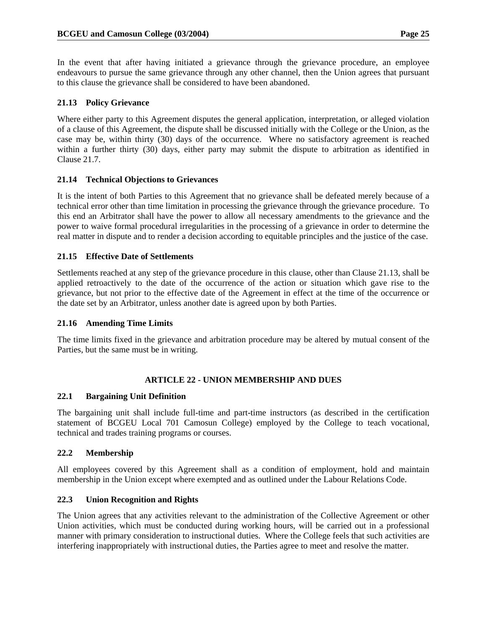In the event that after having initiated a grievance through the grievance procedure, an employee endeavours to pursue the same grievance through any other channel, then the Union agrees that pursuant to this clause the grievance shall be considered to have been abandoned.

# **21.13 Policy Grievance**

Where either party to this Agreement disputes the general application, interpretation, or alleged violation of a clause of this Agreement, the dispute shall be discussed initially with the College or the Union, as the case may be, within thirty (30) days of the occurrence. Where no satisfactory agreement is reached within a further thirty (30) days, either party may submit the dispute to arbitration as identified in Clause 21.7.

# **21.14 Technical Objections to Grievances**

It is the intent of both Parties to this Agreement that no grievance shall be defeated merely because of a technical error other than time limitation in processing the grievance through the grievance procedure. To this end an Arbitrator shall have the power to allow all necessary amendments to the grievance and the power to waive formal procedural irregularities in the processing of a grievance in order to determine the real matter in dispute and to render a decision according to equitable principles and the justice of the case.

# **21.15 Effective Date of Settlements**

Settlements reached at any step of the grievance procedure in this clause, other than Clause 21.13, shall be applied retroactively to the date of the occurrence of the action or situation which gave rise to the grievance, but not prior to the effective date of the Agreement in effect at the time of the occurrence or the date set by an Arbitrator, unless another date is agreed upon by both Parties.

#### **21.16 Amending Time Limits**

The time limits fixed in the grievance and arbitration procedure may be altered by mutual consent of the Parties, but the same must be in writing.

#### **ARTICLE 22 - UNION MEMBERSHIP AND DUES**

#### **22.1 Bargaining Unit Definition**

The bargaining unit shall include full-time and part-time instructors (as described in the certification statement of BCGEU Local 701 Camosun College) employed by the College to teach vocational, technical and trades training programs or courses.

#### **22.2 Membership**

All employees covered by this Agreement shall as a condition of employment, hold and maintain membership in the Union except where exempted and as outlined under the Labour Relations Code.

#### **22.3 Union Recognition and Rights**

The Union agrees that any activities relevant to the administration of the Collective Agreement or other Union activities, which must be conducted during working hours, will be carried out in a professional manner with primary consideration to instructional duties. Where the College feels that such activities are interfering inappropriately with instructional duties, the Parties agree to meet and resolve the matter.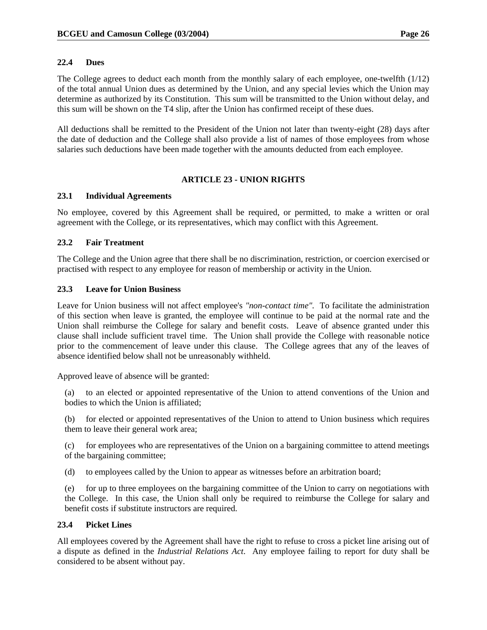#### **22.4 Dues**

The College agrees to deduct each month from the monthly salary of each employee, one-twelfth (1/12) of the total annual Union dues as determined by the Union, and any special levies which the Union may determine as authorized by its Constitution. This sum will be transmitted to the Union without delay, and this sum will be shown on the T4 slip, after the Union has confirmed receipt of these dues.

All deductions shall be remitted to the President of the Union not later than twenty-eight (28) days after the date of deduction and the College shall also provide a list of names of those employees from whose salaries such deductions have been made together with the amounts deducted from each employee.

# **ARTICLE 23 - UNION RIGHTS**

#### **23.1 Individual Agreements**

No employee, covered by this Agreement shall be required, or permitted, to make a written or oral agreement with the College, or its representatives, which may conflict with this Agreement.

# **23.2 Fair Treatment**

The College and the Union agree that there shall be no discrimination, restriction, or coercion exercised or practised with respect to any employee for reason of membership or activity in the Union.

#### **23.3 Leave for Union Business**

Leave for Union business will not affect employee's *"non-contact time".* To facilitate the administration of this section when leave is granted, the employee will continue to be paid at the normal rate and the Union shall reimburse the College for salary and benefit costs. Leave of absence granted under this clause shall include sufficient travel time. The Union shall provide the College with reasonable notice prior to the commencement of leave under this clause. The College agrees that any of the leaves of absence identified below shall not be unreasonably withheld.

Approved leave of absence will be granted:

(a) to an elected or appointed representative of the Union to attend conventions of the Union and bodies to which the Union is affiliated;

(b) for elected or appointed representatives of the Union to attend to Union business which requires them to leave their general work area;

(c) for employees who are representatives of the Union on a bargaining committee to attend meetings of the bargaining committee;

(d) to employees called by the Union to appear as witnesses before an arbitration board;

(e) for up to three employees on the bargaining committee of the Union to carry on negotiations with the College. In this case, the Union shall only be required to reimburse the College for salary and benefit costs if substitute instructors are required.

#### **23.4 Picket Lines**

All employees covered by the Agreement shall have the right to refuse to cross a picket line arising out of a dispute as defined in the *Industrial Relations Act*. Any employee failing to report for duty shall be considered to be absent without pay.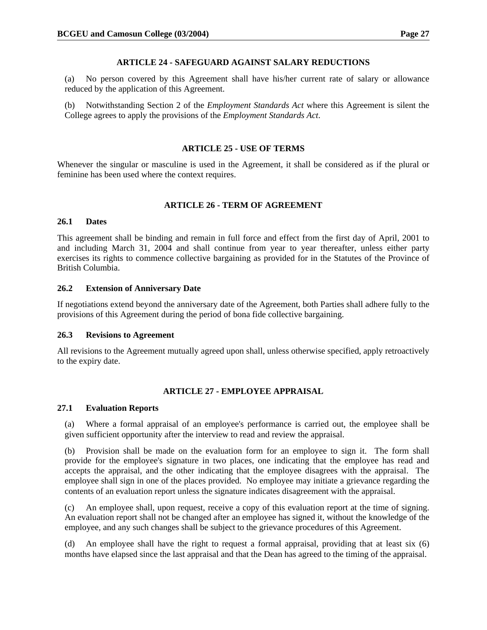#### **ARTICLE 24 - SAFEGUARD AGAINST SALARY REDUCTIONS**

(a) No person covered by this Agreement shall have his/her current rate of salary or allowance reduced by the application of this Agreement.

(b) Notwithstanding Section 2 of the *Employment Standards Act* where this Agreement is silent the College agrees to apply the provisions of the *Employment Standards Act*.

### **ARTICLE 25 - USE OF TERMS**

Whenever the singular or masculine is used in the Agreement, it shall be considered as if the plural or feminine has been used where the context requires.

# **ARTICLE 26 - TERM OF AGREEMENT**

#### **26.1 Dates**

This agreement shall be binding and remain in full force and effect from the first day of April, 2001 to and including March 31, 2004 and shall continue from year to year thereafter, unless either party exercises its rights to commence collective bargaining as provided for in the Statutes of the Province of British Columbia.

#### **26.2 Extension of Anniversary Date**

If negotiations extend beyond the anniversary date of the Agreement, both Parties shall adhere fully to the provisions of this Agreement during the period of bona fide collective bargaining.

#### **26.3 Revisions to Agreement**

All revisions to the Agreement mutually agreed upon shall, unless otherwise specified, apply retroactively to the expiry date.

#### **ARTICLE 27 - EMPLOYEE APPRAISAL**

#### **27.1 Evaluation Reports**

(a) Where a formal appraisal of an employee's performance is carried out, the employee shall be given sufficient opportunity after the interview to read and review the appraisal.

(b) Provision shall be made on the evaluation form for an employee to sign it. The form shall provide for the employee's signature in two places, one indicating that the employee has read and accepts the appraisal, and the other indicating that the employee disagrees with the appraisal. The employee shall sign in one of the places provided. No employee may initiate a grievance regarding the contents of an evaluation report unless the signature indicates disagreement with the appraisal.

(c) An employee shall, upon request, receive a copy of this evaluation report at the time of signing. An evaluation report shall not be changed after an employee has signed it, without the knowledge of the employee, and any such changes shall be subject to the grievance procedures of this Agreement.

(d) An employee shall have the right to request a formal appraisal, providing that at least six (6) months have elapsed since the last appraisal and that the Dean has agreed to the timing of the appraisal.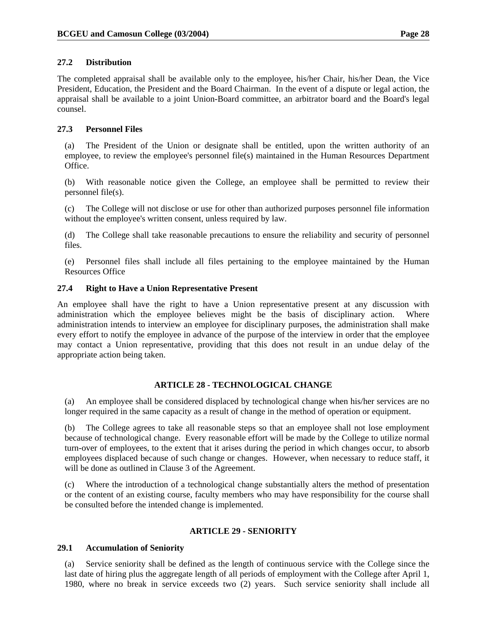# **27.2 Distribution**

The completed appraisal shall be available only to the employee, his/her Chair, his/her Dean, the Vice President, Education, the President and the Board Chairman. In the event of a dispute or legal action, the appraisal shall be available to a joint Union-Board committee, an arbitrator board and the Board's legal counsel.

# **27.3 Personnel Files**

(a) The President of the Union or designate shall be entitled, upon the written authority of an employee, to review the employee's personnel file(s) maintained in the Human Resources Department Office.

(b) With reasonable notice given the College, an employee shall be permitted to review their personnel file(s).

(c) The College will not disclose or use for other than authorized purposes personnel file information without the employee's written consent, unless required by law.

(d) The College shall take reasonable precautions to ensure the reliability and security of personnel files.

(e) Personnel files shall include all files pertaining to the employee maintained by the Human Resources Office

# **27.4 Right to Have a Union Representative Present**

An employee shall have the right to have a Union representative present at any discussion with administration which the employee believes might be the basis of disciplinary action. Where administration intends to interview an employee for disciplinary purposes, the administration shall make every effort to notify the employee in advance of the purpose of the interview in order that the employee may contact a Union representative, providing that this does not result in an undue delay of the appropriate action being taken.

# **ARTICLE 28 - TECHNOLOGICAL CHANGE**

(a) An employee shall be considered displaced by technological change when his/her services are no longer required in the same capacity as a result of change in the method of operation or equipment.

(b) The College agrees to take all reasonable steps so that an employee shall not lose employment because of technological change. Every reasonable effort will be made by the College to utilize normal turn-over of employees, to the extent that it arises during the period in which changes occur, to absorb employees displaced because of such change or changes. However, when necessary to reduce staff, it will be done as outlined in Clause 3 of the Agreement.

(c) Where the introduction of a technological change substantially alters the method of presentation or the content of an existing course, faculty members who may have responsibility for the course shall be consulted before the intended change is implemented.

# **ARTICLE 29 - SENIORITY**

#### **29.1 Accumulation of Seniority**

(a) Service seniority shall be defined as the length of continuous service with the College since the last date of hiring plus the aggregate length of all periods of employment with the College after April 1, 1980, where no break in service exceeds two (2) years. Such service seniority shall include all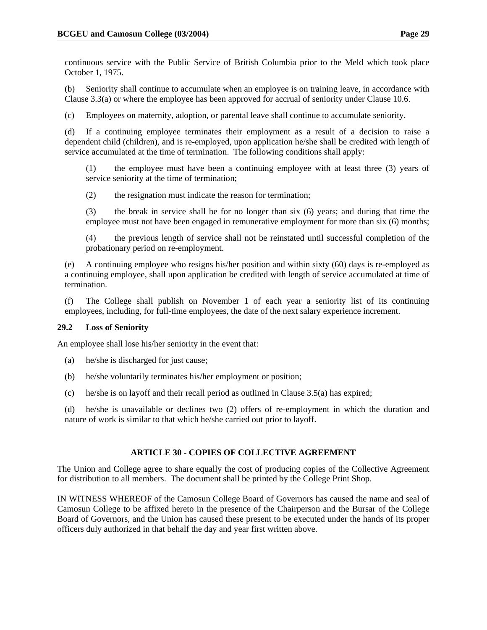continuous service with the Public Service of British Columbia prior to the Meld which took place October 1, 1975.

(b) Seniority shall continue to accumulate when an employee is on training leave, in accordance with Clause 3.3(a) or where the employee has been approved for accrual of seniority under Clause 10.6.

(c) Employees on maternity, adoption, or parental leave shall continue to accumulate seniority.

(d) If a continuing employee terminates their employment as a result of a decision to raise a dependent child (children), and is re-employed, upon application he/she shall be credited with length of service accumulated at the time of termination. The following conditions shall apply:

(1) the employee must have been a continuing employee with at least three (3) years of service seniority at the time of termination;

(2) the resignation must indicate the reason for termination;

(3) the break in service shall be for no longer than six (6) years; and during that time the employee must not have been engaged in remunerative employment for more than six (6) months;

(4) the previous length of service shall not be reinstated until successful completion of the probationary period on re-employment.

(e) A continuing employee who resigns his/her position and within sixty (60) days is re-employed as a continuing employee, shall upon application be credited with length of service accumulated at time of termination.

(f) The College shall publish on November 1 of each year a seniority list of its continuing employees, including, for full-time employees, the date of the next salary experience increment.

# **29.2 Loss of Seniority**

An employee shall lose his/her seniority in the event that:

- (a) he/she is discharged for just cause;
- (b) he/she voluntarily terminates his/her employment or position;
- (c) he/she is on layoff and their recall period as outlined in Clause 3.5(a) has expired;

(d) he/she is unavailable or declines two (2) offers of re-employment in which the duration and nature of work is similar to that which he/she carried out prior to layoff.

# **ARTICLE 30 - COPIES OF COLLECTIVE AGREEMENT**

The Union and College agree to share equally the cost of producing copies of the Collective Agreement for distribution to all members. The document shall be printed by the College Print Shop.

IN WITNESS WHEREOF of the Camosun College Board of Governors has caused the name and seal of Camosun College to be affixed hereto in the presence of the Chairperson and the Bursar of the College Board of Governors, and the Union has caused these present to be executed under the hands of its proper officers duly authorized in that behalf the day and year first written above.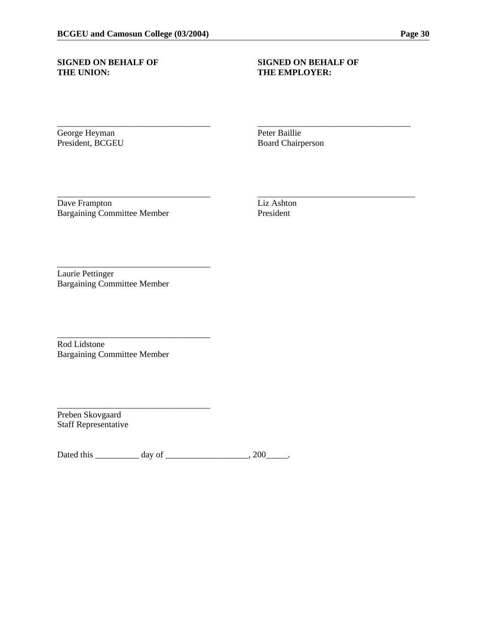# THE UNION: THE EMPLOYER:

# **SIGNED ON BEHALF OF SIGNED ON BEHALF OF**

George Heyman Peter Baillie<br>President, BCGEU Board Chairpe

Board Chairperson

\_\_\_\_\_\_\_\_\_\_\_\_\_\_\_\_\_\_\_\_\_\_\_\_\_\_\_\_\_\_\_\_\_\_\_ \_\_\_\_\_\_\_\_\_\_\_\_\_\_\_\_\_\_\_\_\_\_\_\_\_\_\_\_\_\_\_\_\_\_\_

\_\_\_\_\_\_\_\_\_\_\_\_\_\_\_\_\_\_\_\_\_\_\_\_\_\_\_\_\_\_\_\_\_\_\_ \_\_\_\_\_\_\_\_\_\_\_\_\_\_\_\_\_\_\_\_\_\_\_\_\_\_\_\_\_\_\_\_\_\_\_\_

Dave Frampton Liz Ashton Bargaining Committee Member President

Laurie Pettinger Bargaining Committee Member

\_\_\_\_\_\_\_\_\_\_\_\_\_\_\_\_\_\_\_\_\_\_\_\_\_\_\_\_\_\_\_\_\_\_\_

\_\_\_\_\_\_\_\_\_\_\_\_\_\_\_\_\_\_\_\_\_\_\_\_\_\_\_\_\_\_\_\_\_\_\_

\_\_\_\_\_\_\_\_\_\_\_\_\_\_\_\_\_\_\_\_\_\_\_\_\_\_\_\_\_\_\_\_\_\_\_

Rod Lidstone Bargaining Committee Member

Preben Skovgaard Staff Representative

Dated this \_\_\_\_\_\_\_\_\_\_ day of \_\_\_\_\_\_\_\_\_\_\_\_\_\_\_\_\_\_\_\_\_, 200\_\_\_\_\_\_.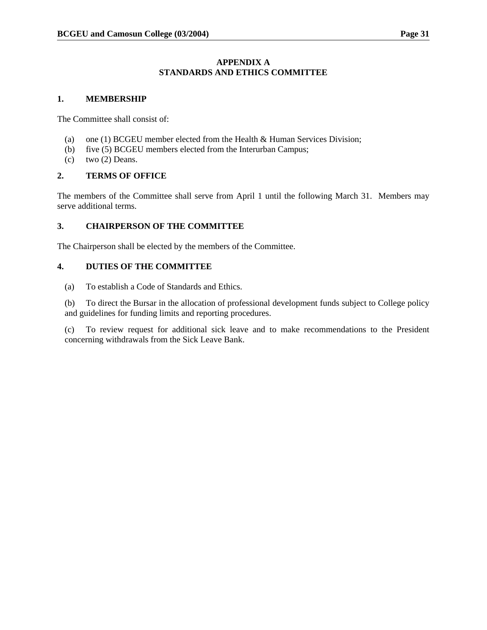# **APPENDIX A STANDARDS AND ETHICS COMMITTEE**

### **1. MEMBERSHIP**

The Committee shall consist of:

- (a) one (1) BCGEU member elected from the Health & Human Services Division;
- (b) five (5) BCGEU members elected from the Interurban Campus;
- (c) two  $(2)$  Deans.

# **2. TERMS OF OFFICE**

The members of the Committee shall serve from April 1 until the following March 31. Members may serve additional terms.

# **3. CHAIRPERSON OF THE COMMITTEE**

The Chairperson shall be elected by the members of the Committee.

# **4. DUTIES OF THE COMMITTEE**

(a) To establish a Code of Standards and Ethics.

(b) To direct the Bursar in the allocation of professional development funds subject to College policy and guidelines for funding limits and reporting procedures.

(c) To review request for additional sick leave and to make recommendations to the President concerning withdrawals from the Sick Leave Bank.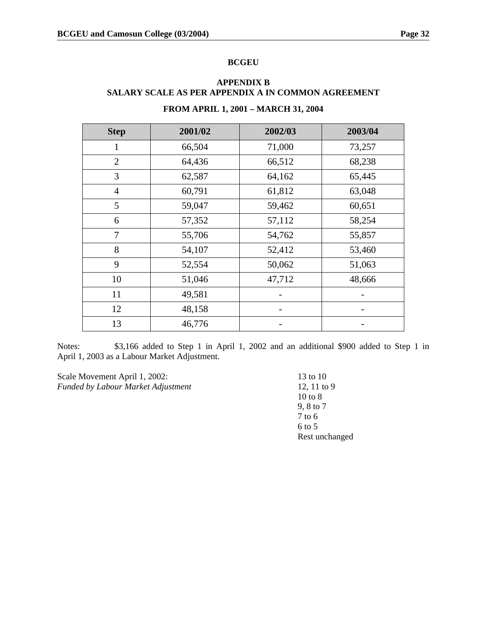#### **BCGEU**

# **FROM APRIL 1, 2001 – MARCH 31, 2004 Step 2001/02 2002/03 2003/04**  1 66,504 71,000 73,257 2 64,436 66,512 68,238 3 62,587 64,162 65,445 4 60,791 61,812 63,048 5 59,047 59,462 60,651 6 57,352 57,112 58,254 7 55,706 54,762 55,857 8 54,107 52,412 53,460 9 52,554 50,062 51,063 10 51,046 47,712 48,666  $11$  49,581 -  $\qquad$  $12 \t\t 48,158$  -  $\cdot$ 13 46,776 - -

# **APPENDIX B SALARY SCALE AS PER APPENDIX A IN COMMON AGREEMENT**

Notes: \$3,166 added to Step 1 in April 1, 2002 and an additional \$900 added to Step 1 in April 1, 2003 as a Labour Market Adjustment.

Scale Movement April 1, 2002: 13 to 10 *Funded by Labour Market Adjustment* 12, 11 to 9

 10 to 8 9, 8 to 7 7 to 6 6 to 5 Rest unchanged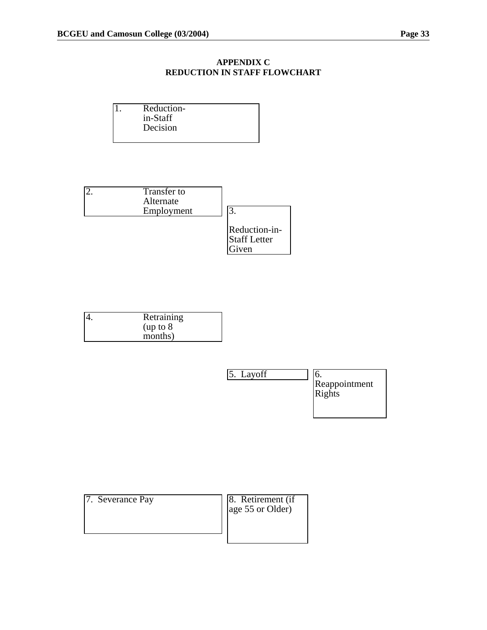# **APPENDIX C REDUCTION IN STAFF FLOWCHART**

| Reduction- |  |
|------------|--|
| in-Staff   |  |
| Decision   |  |
|            |  |



| Retraining |
|------------|
| (up to 8   |
| months)    |



| 7. Severance Pay | 8. Retirement (if<br>age 55 or Older) |
|------------------|---------------------------------------|
|                  |                                       |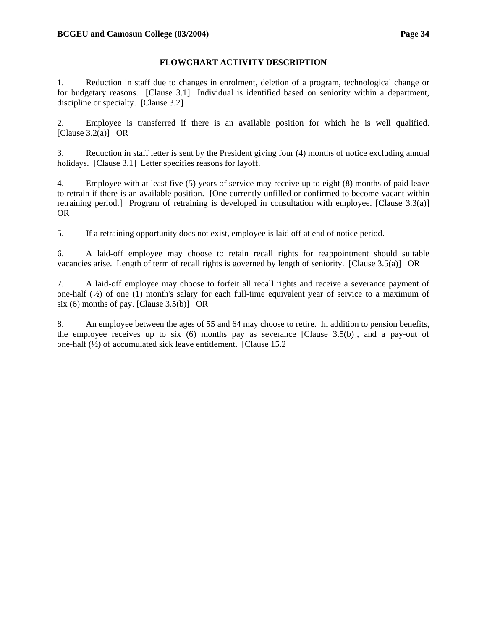# **FLOWCHART ACTIVITY DESCRIPTION**

1. Reduction in staff due to changes in enrolment, deletion of a program, technological change or for budgetary reasons. [Clause 3.1] Individual is identified based on seniority within a department, discipline or specialty. [Clause 3.2]

2. Employee is transferred if there is an available position for which he is well qualified. [Clause  $3.2(a)$ ] OR

3. Reduction in staff letter is sent by the President giving four (4) months of notice excluding annual holidays. [Clause 3.1] Letter specifies reasons for layoff.

4. Employee with at least five (5) years of service may receive up to eight (8) months of paid leave to retrain if there is an available position. [One currently unfilled or confirmed to become vacant within retraining period.] Program of retraining is developed in consultation with employee. [Clause 3.3(a)] OR

5. If a retraining opportunity does not exist, employee is laid off at end of notice period.

6. A laid-off employee may choose to retain recall rights for reappointment should suitable vacancies arise. Length of term of recall rights is governed by length of seniority. [Clause 3.5(a)] OR

7. A laid-off employee may choose to forfeit all recall rights and receive a severance payment of one-half  $(\frac{1}{2})$  of one (1) month's salary for each full-time equivalent year of service to a maximum of six (6) months of pay. [Clause  $3.5(b)$ ] OR

8. An employee between the ages of 55 and 64 may choose to retire. In addition to pension benefits, the employee receives up to six  $(6)$  months pay as severance [Clause 3.5(b)], and a pay-out of one-half  $(\frac{1}{2})$  of accumulated sick leave entitlement. [Clause 15.2]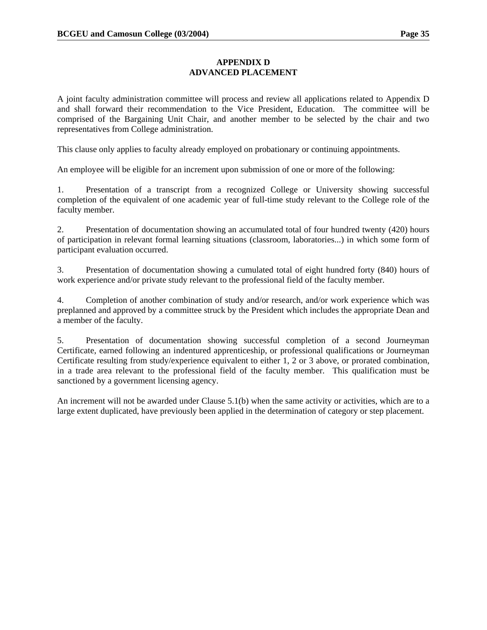# **APPENDIX D ADVANCED PLACEMENT**

A joint faculty administration committee will process and review all applications related to Appendix D and shall forward their recommendation to the Vice President, Education. The committee will be comprised of the Bargaining Unit Chair, and another member to be selected by the chair and two representatives from College administration.

This clause only applies to faculty already employed on probationary or continuing appointments.

An employee will be eligible for an increment upon submission of one or more of the following:

1. Presentation of a transcript from a recognized College or University showing successful completion of the equivalent of one academic year of full-time study relevant to the College role of the faculty member.

2. Presentation of documentation showing an accumulated total of four hundred twenty (420) hours of participation in relevant formal learning situations (classroom, laboratories...) in which some form of participant evaluation occurred.

3. Presentation of documentation showing a cumulated total of eight hundred forty (840) hours of work experience and/or private study relevant to the professional field of the faculty member.

4. Completion of another combination of study and/or research, and/or work experience which was preplanned and approved by a committee struck by the President which includes the appropriate Dean and a member of the faculty.

5. Presentation of documentation showing successful completion of a second Journeyman Certificate, earned following an indentured apprenticeship, or professional qualifications or Journeyman Certificate resulting from study/experience equivalent to either 1, 2 or 3 above, or prorated combination, in a trade area relevant to the professional field of the faculty member. This qualification must be sanctioned by a government licensing agency.

An increment will not be awarded under Clause 5.1(b) when the same activity or activities, which are to a large extent duplicated, have previously been applied in the determination of category or step placement.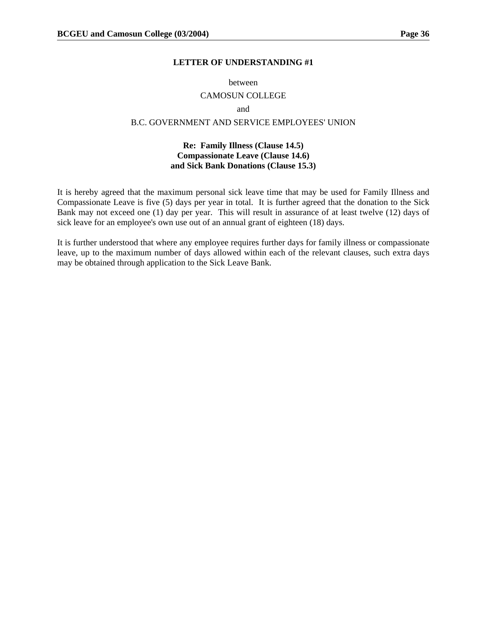#### **LETTER OF UNDERSTANDING #1**

#### between

#### CAMOSUN COLLEGE

#### and

# B.C. GOVERNMENT AND SERVICE EMPLOYEES' UNION

#### **Re: Family Illness (Clause 14.5) Compassionate Leave (Clause 14.6) and Sick Bank Donations (Clause 15.3)**

It is hereby agreed that the maximum personal sick leave time that may be used for Family Illness and Compassionate Leave is five (5) days per year in total. It is further agreed that the donation to the Sick Bank may not exceed one (1) day per year. This will result in assurance of at least twelve (12) days of sick leave for an employee's own use out of an annual grant of eighteen (18) days.

It is further understood that where any employee requires further days for family illness or compassionate leave, up to the maximum number of days allowed within each of the relevant clauses, such extra days may be obtained through application to the Sick Leave Bank.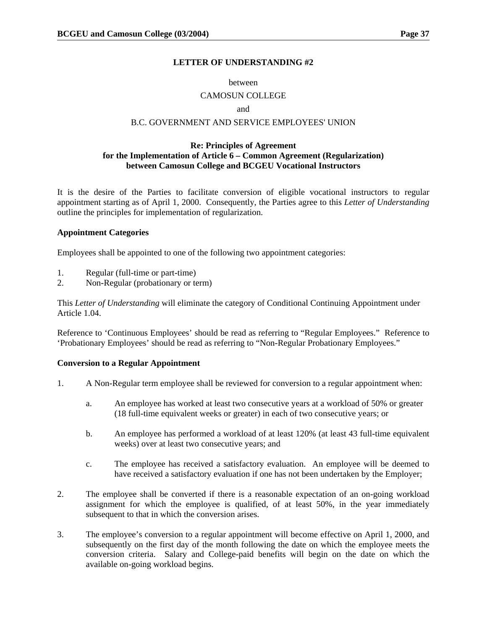#### **LETTER OF UNDERSTANDING #2**

#### between

#### CAMOSUN COLLEGE

#### and

### B.C. GOVERNMENT AND SERVICE EMPLOYEES' UNION

#### **Re: Principles of Agreement for the Implementation of Article 6 – Common Agreement (Regularization) between Camosun College and BCGEU Vocational Instructors**

It is the desire of the Parties to facilitate conversion of eligible vocational instructors to regular appointment starting as of April 1, 2000. Consequently, the Parties agree to this *Letter of Understanding* outline the principles for implementation of regularization.

#### **Appointment Categories**

Employees shall be appointed to one of the following two appointment categories:

- 1. Regular (full-time or part-time)
- 2. Non-Regular (probationary or term)

This *Letter of Understanding* will eliminate the category of Conditional Continuing Appointment under Article 1.04.

Reference to 'Continuous Employees' should be read as referring to "Regular Employees." Reference to 'Probationary Employees' should be read as referring to "Non-Regular Probationary Employees."

#### **Conversion to a Regular Appointment**

- 1. A Non-Regular term employee shall be reviewed for conversion to a regular appointment when:
	- a. An employee has worked at least two consecutive years at a workload of 50% or greater (18 full-time equivalent weeks or greater) in each of two consecutive years; or
	- b. An employee has performed a workload of at least 120% (at least 43 full-time equivalent weeks) over at least two consecutive years; and
	- c. The employee has received a satisfactory evaluation. An employee will be deemed to have received a satisfactory evaluation if one has not been undertaken by the Employer;
- 2. The employee shall be converted if there is a reasonable expectation of an on-going workload assignment for which the employee is qualified, of at least 50%, in the year immediately subsequent to that in which the conversion arises.
- 3. The employee's conversion to a regular appointment will become effective on April 1, 2000, and subsequently on the first day of the month following the date on which the employee meets the conversion criteria. Salary and College-paid benefits will begin on the date on which the available on-going workload begins.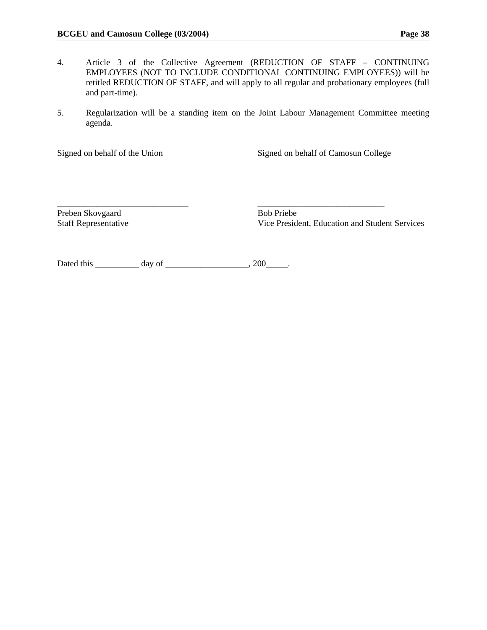- 4. Article 3 of the Collective Agreement (REDUCTION OF STAFF CONTINUING EMPLOYEES (NOT TO INCLUDE CONDITIONAL CONTINUING EMPLOYEES)) will be retitled REDUCTION OF STAFF, and will apply to all regular and probationary employees (full and part-time).
- 5. Regularization will be a standing item on the Joint Labour Management Committee meeting agenda.

\_\_\_\_\_\_\_\_\_\_\_\_\_\_\_\_\_\_\_\_\_\_\_\_\_\_\_\_\_\_ \_\_\_\_\_\_\_\_\_\_\_\_\_\_\_\_\_\_\_\_\_\_\_\_\_\_\_\_\_

Signed on behalf of the Union Signed on behalf of Camosun College

Preben Skovgaard Bob Priebe

Staff Representative Vice President, Education and Student Services

Dated this \_\_\_\_\_\_\_\_\_\_ day of \_\_\_\_\_\_\_\_\_\_\_\_\_\_\_\_\_\_\_\_, 200\_\_\_\_\_\_.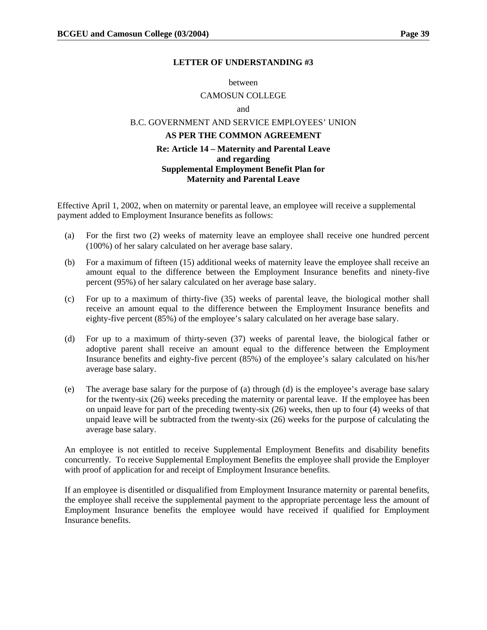#### **LETTER OF UNDERSTANDING #3**

#### between

#### CAMOSUN COLLEGE

and

# B.C. GOVERNMENT AND SERVICE EMPLOYEES' UNION

# **AS PER THE COMMON AGREEMENT**

#### **Re: Article 14 – Maternity and Parental Leave and regarding Supplemental Employment Benefit Plan for Maternity and Parental Leave**

Effective April 1, 2002, when on maternity or parental leave, an employee will receive a supplemental payment added to Employment Insurance benefits as follows:

- (a) For the first two (2) weeks of maternity leave an employee shall receive one hundred percent (100%) of her salary calculated on her average base salary.
- (b) For a maximum of fifteen (15) additional weeks of maternity leave the employee shall receive an amount equal to the difference between the Employment Insurance benefits and ninety-five percent (95%) of her salary calculated on her average base salary.
- (c) For up to a maximum of thirty-five (35) weeks of parental leave, the biological mother shall receive an amount equal to the difference between the Employment Insurance benefits and eighty-five percent (85%) of the employee's salary calculated on her average base salary.
- (d) For up to a maximum of thirty-seven (37) weeks of parental leave, the biological father or adoptive parent shall receive an amount equal to the difference between the Employment Insurance benefits and eighty-five percent (85%) of the employee's salary calculated on his/her average base salary.
- (e) The average base salary for the purpose of (a) through (d) is the employee's average base salary for the twenty-six (26) weeks preceding the maternity or parental leave. If the employee has been on unpaid leave for part of the preceding twenty-six (26) weeks, then up to four (4) weeks of that unpaid leave will be subtracted from the twenty-six (26) weeks for the purpose of calculating the average base salary.

An employee is not entitled to receive Supplemental Employment Benefits and disability benefits concurrently. To receive Supplemental Employment Benefits the employee shall provide the Employer with proof of application for and receipt of Employment Insurance benefits.

If an employee is disentitled or disqualified from Employment Insurance maternity or parental benefits, the employee shall receive the supplemental payment to the appropriate percentage less the amount of Employment Insurance benefits the employee would have received if qualified for Employment Insurance benefits.